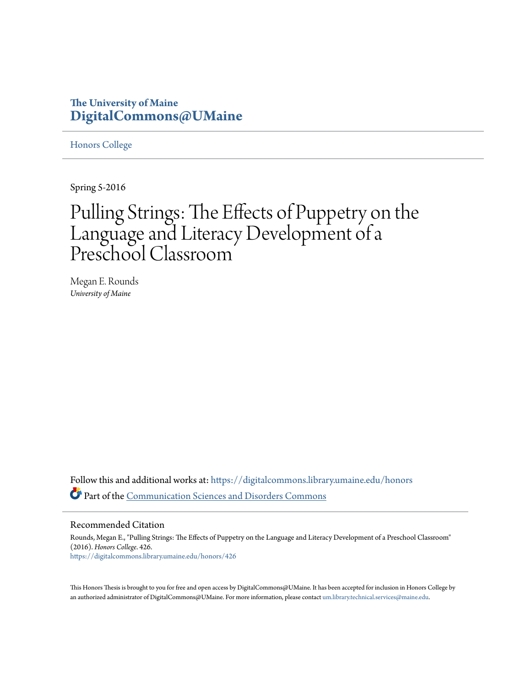# **The University of Maine [DigitalCommons@UMaine](https://digitalcommons.library.umaine.edu?utm_source=digitalcommons.library.umaine.edu%2Fhonors%2F426&utm_medium=PDF&utm_campaign=PDFCoverPages)**

[Honors College](https://digitalcommons.library.umaine.edu/honors?utm_source=digitalcommons.library.umaine.edu%2Fhonors%2F426&utm_medium=PDF&utm_campaign=PDFCoverPages)

Spring 5-2016

# Pulling Strings: The Effects of Puppetry on the Language and Literacy Development of a Preschool Classroom

Megan E. Rounds *University of Maine*

Follow this and additional works at: [https://digitalcommons.library.umaine.edu/honors](https://digitalcommons.library.umaine.edu/honors?utm_source=digitalcommons.library.umaine.edu%2Fhonors%2F426&utm_medium=PDF&utm_campaign=PDFCoverPages) Part of the [Communication Sciences and Disorders Commons](http://network.bepress.com/hgg/discipline/1019?utm_source=digitalcommons.library.umaine.edu%2Fhonors%2F426&utm_medium=PDF&utm_campaign=PDFCoverPages)

Recommended Citation

Rounds, Megan E., "Pulling Strings: The Effects of Puppetry on the Language and Literacy Development of a Preschool Classroom" (2016). *Honors College*. 426. [https://digitalcommons.library.umaine.edu/honors/426](https://digitalcommons.library.umaine.edu/honors/426?utm_source=digitalcommons.library.umaine.edu%2Fhonors%2F426&utm_medium=PDF&utm_campaign=PDFCoverPages)

This Honors Thesis is brought to you for free and open access by DigitalCommons@UMaine. It has been accepted for inclusion in Honors College by an authorized administrator of DigitalCommons@UMaine. For more information, please contact [um.library.technical.services@maine.edu](mailto:um.library.technical.services@maine.edu).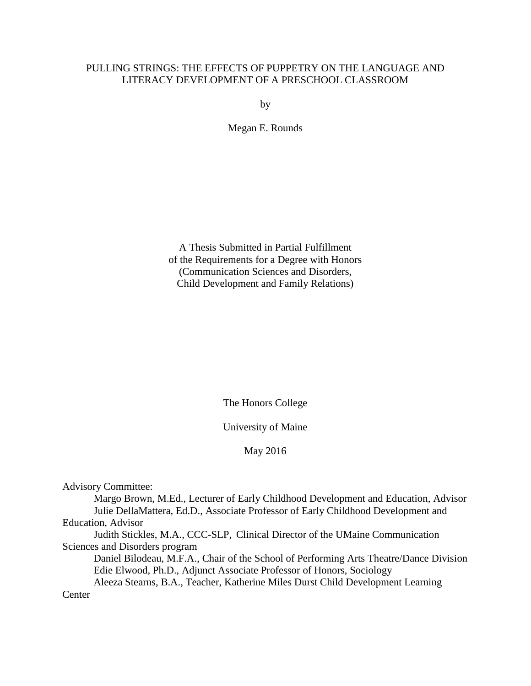# PULLING STRINGS: THE EFFECTS OF PUPPETRY ON THE LANGUAGE AND LITERACY DEVELOPMENT OF A PRESCHOOL CLASSROOM

by

Megan E. Rounds

A Thesis Submitted in Partial Fulfillment of the Requirements for a Degree with Honors (Communication Sciences and Disorders, Child Development and Family Relations)

The Honors College

University of Maine

May 2016

Advisory Committee:

Margo Brown, M.Ed., Lecturer of Early Childhood Development and Education, Advisor Julie DellaMattera, Ed.D., Associate Professor of Early Childhood Development and Education, Advisor

Judith Stickles, M.A., CCC-SLP, Clinical Director of the UMaine Communication Sciences and Disorders program

Daniel Bilodeau, M.F.A., Chair of the School of Performing Arts Theatre/Dance Division Edie Elwood, Ph.D., Adjunct Associate Professor of Honors, Sociology

Aleeza Stearns, B.A., Teacher, Katherine Miles Durst Child Development Learning **Center**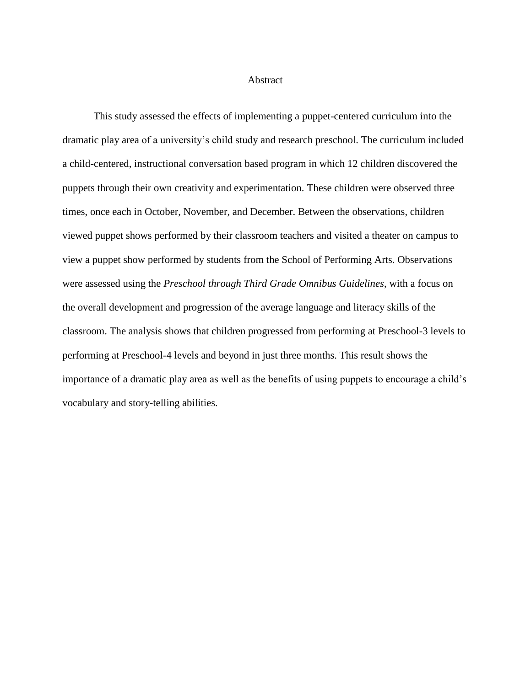#### **Abstract**

This study assessed the effects of implementing a puppet-centered curriculum into the dramatic play area of a university's child study and research preschool. The curriculum included a child-centered, instructional conversation based program in which 12 children discovered the puppets through their own creativity and experimentation. These children were observed three times, once each in October, November, and December. Between the observations, children viewed puppet shows performed by their classroom teachers and visited a theater on campus to view a puppet show performed by students from the School of Performing Arts. Observations were assessed using the *Preschool through Third Grade Omnibus Guidelines*, with a focus on the overall development and progression of the average language and literacy skills of the classroom. The analysis shows that children progressed from performing at Preschool-3 levels to performing at Preschool-4 levels and beyond in just three months. This result shows the importance of a dramatic play area as well as the benefits of using puppets to encourage a child's vocabulary and story-telling abilities.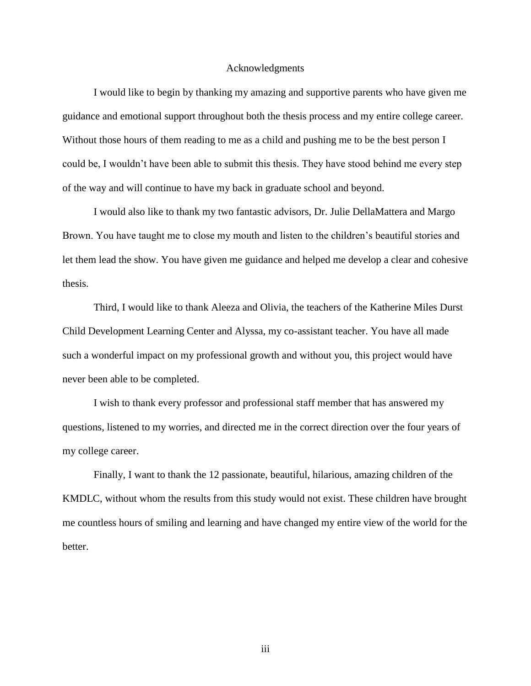#### Acknowledgments

I would like to begin by thanking my amazing and supportive parents who have given me guidance and emotional support throughout both the thesis process and my entire college career. Without those hours of them reading to me as a child and pushing me to be the best person I could be, I wouldn't have been able to submit this thesis. They have stood behind me every step of the way and will continue to have my back in graduate school and beyond.

I would also like to thank my two fantastic advisors, Dr. Julie DellaMattera and Margo Brown. You have taught me to close my mouth and listen to the children's beautiful stories and let them lead the show. You have given me guidance and helped me develop a clear and cohesive thesis.

Third, I would like to thank Aleeza and Olivia, the teachers of the Katherine Miles Durst Child Development Learning Center and Alyssa, my co-assistant teacher. You have all made such a wonderful impact on my professional growth and without you, this project would have never been able to be completed.

I wish to thank every professor and professional staff member that has answered my questions, listened to my worries, and directed me in the correct direction over the four years of my college career.

Finally, I want to thank the 12 passionate, beautiful, hilarious, amazing children of the KMDLC, without whom the results from this study would not exist. These children have brought me countless hours of smiling and learning and have changed my entire view of the world for the better.

iii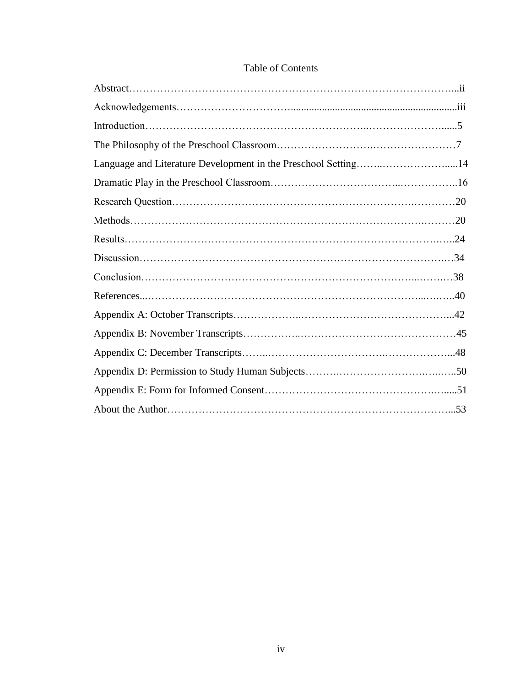| Language and Literature Development in the Preschool Setting14 |  |
|----------------------------------------------------------------|--|
|                                                                |  |
|                                                                |  |
|                                                                |  |
|                                                                |  |
|                                                                |  |
|                                                                |  |
|                                                                |  |
|                                                                |  |
|                                                                |  |
|                                                                |  |
|                                                                |  |
|                                                                |  |
|                                                                |  |

# Table of Contents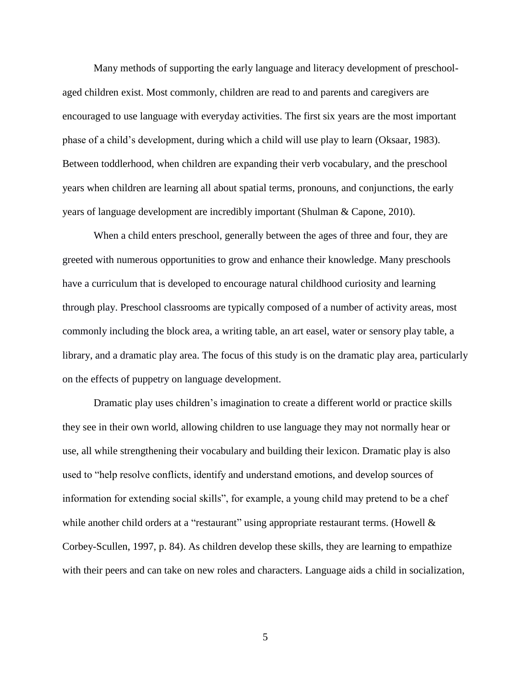Many methods of supporting the early language and literacy development of preschoolaged children exist. Most commonly, children are read to and parents and caregivers are encouraged to use language with everyday activities. The first six years are the most important phase of a child's development, during which a child will use play to learn (Oksaar, 1983). Between toddlerhood, when children are expanding their verb vocabulary, and the preschool years when children are learning all about spatial terms, pronouns, and conjunctions, the early years of language development are incredibly important (Shulman & Capone, 2010).

When a child enters preschool, generally between the ages of three and four, they are greeted with numerous opportunities to grow and enhance their knowledge. Many preschools have a curriculum that is developed to encourage natural childhood curiosity and learning through play. Preschool classrooms are typically composed of a number of activity areas, most commonly including the block area, a writing table, an art easel, water or sensory play table, a library, and a dramatic play area. The focus of this study is on the dramatic play area, particularly on the effects of puppetry on language development.

Dramatic play uses children's imagination to create a different world or practice skills they see in their own world, allowing children to use language they may not normally hear or use, all while strengthening their vocabulary and building their lexicon. Dramatic play is also used to "help resolve conflicts, identify and understand emotions, and develop sources of information for extending social skills", for example, a young child may pretend to be a chef while another child orders at a "restaurant" using appropriate restaurant terms. (Howell  $\&$ Corbey-Scullen, 1997, p. 84). As children develop these skills, they are learning to empathize with their peers and can take on new roles and characters. Language aids a child in socialization,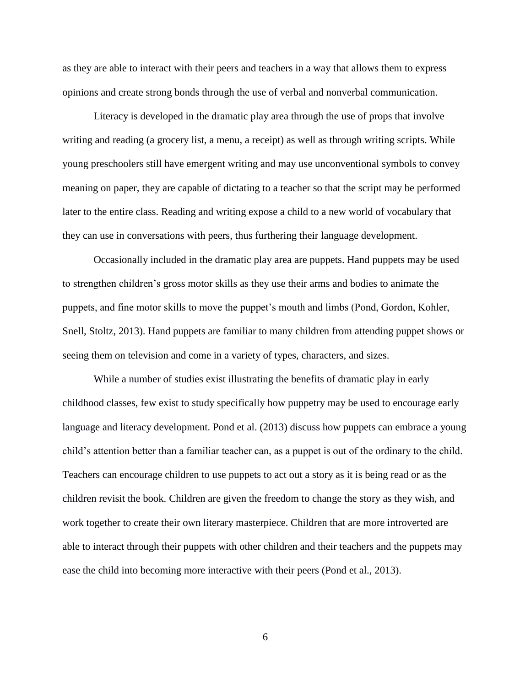as they are able to interact with their peers and teachers in a way that allows them to express opinions and create strong bonds through the use of verbal and nonverbal communication.

Literacy is developed in the dramatic play area through the use of props that involve writing and reading (a grocery list, a menu, a receipt) as well as through writing scripts. While young preschoolers still have emergent writing and may use unconventional symbols to convey meaning on paper, they are capable of dictating to a teacher so that the script may be performed later to the entire class. Reading and writing expose a child to a new world of vocabulary that they can use in conversations with peers, thus furthering their language development.

Occasionally included in the dramatic play area are puppets. Hand puppets may be used to strengthen children's gross motor skills as they use their arms and bodies to animate the puppets, and fine motor skills to move the puppet's mouth and limbs (Pond, Gordon, Kohler, Snell, Stoltz, 2013). Hand puppets are familiar to many children from attending puppet shows or seeing them on television and come in a variety of types, characters, and sizes.

While a number of studies exist illustrating the benefits of dramatic play in early childhood classes, few exist to study specifically how puppetry may be used to encourage early language and literacy development. Pond et al. (2013) discuss how puppets can embrace a young child's attention better than a familiar teacher can, as a puppet is out of the ordinary to the child. Teachers can encourage children to use puppets to act out a story as it is being read or as the children revisit the book. Children are given the freedom to change the story as they wish, and work together to create their own literary masterpiece. Children that are more introverted are able to interact through their puppets with other children and their teachers and the puppets may ease the child into becoming more interactive with their peers (Pond et al., 2013).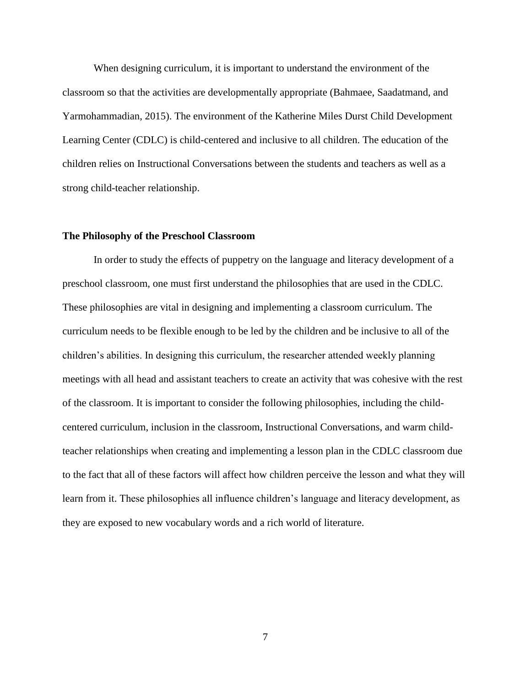When designing curriculum, it is important to understand the environment of the classroom so that the activities are developmentally appropriate (Bahmaee, Saadatmand, and Yarmohammadian, 2015). The environment of the Katherine Miles Durst Child Development Learning Center (CDLC) is child-centered and inclusive to all children. The education of the children relies on Instructional Conversations between the students and teachers as well as a strong child-teacher relationship.

#### **The Philosophy of the Preschool Classroom**

In order to study the effects of puppetry on the language and literacy development of a preschool classroom, one must first understand the philosophies that are used in the CDLC. These philosophies are vital in designing and implementing a classroom curriculum. The curriculum needs to be flexible enough to be led by the children and be inclusive to all of the children's abilities. In designing this curriculum, the researcher attended weekly planning meetings with all head and assistant teachers to create an activity that was cohesive with the rest of the classroom. It is important to consider the following philosophies, including the childcentered curriculum, inclusion in the classroom, Instructional Conversations, and warm childteacher relationships when creating and implementing a lesson plan in the CDLC classroom due to the fact that all of these factors will affect how children perceive the lesson and what they will learn from it. These philosophies all influence children's language and literacy development, as they are exposed to new vocabulary words and a rich world of literature.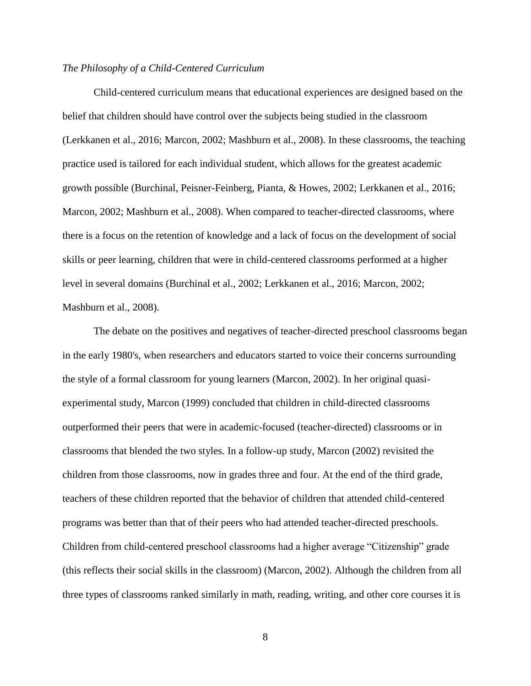#### *The Philosophy of a Child-Centered Curriculum*

Child-centered curriculum means that educational experiences are designed based on the belief that children should have control over the subjects being studied in the classroom (Lerkkanen et al., 2016; Marcon, 2002; Mashburn et al., 2008). In these classrooms, the teaching practice used is tailored for each individual student, which allows for the greatest academic growth possible (Burchinal, Peisner-Feinberg, Pianta, & Howes, 2002; Lerkkanen et al., 2016; Marcon, 2002; Mashburn et al., 2008). When compared to teacher-directed classrooms, where there is a focus on the retention of knowledge and a lack of focus on the development of social skills or peer learning, children that were in child-centered classrooms performed at a higher level in several domains (Burchinal et al., 2002; Lerkkanen et al., 2016; Marcon, 2002; Mashburn et al., 2008).

The debate on the positives and negatives of teacher-directed preschool classrooms began in the early 1980's, when researchers and educators started to voice their concerns surrounding the style of a formal classroom for young learners (Marcon, 2002). In her original quasiexperimental study, Marcon (1999) concluded that children in child-directed classrooms outperformed their peers that were in academic-focused (teacher-directed) classrooms or in classrooms that blended the two styles. In a follow-up study, Marcon (2002) revisited the children from those classrooms, now in grades three and four. At the end of the third grade, teachers of these children reported that the behavior of children that attended child-centered programs was better than that of their peers who had attended teacher-directed preschools. Children from child-centered preschool classrooms had a higher average "Citizenship" grade (this reflects their social skills in the classroom) (Marcon, 2002). Although the children from all three types of classrooms ranked similarly in math, reading, writing, and other core courses it is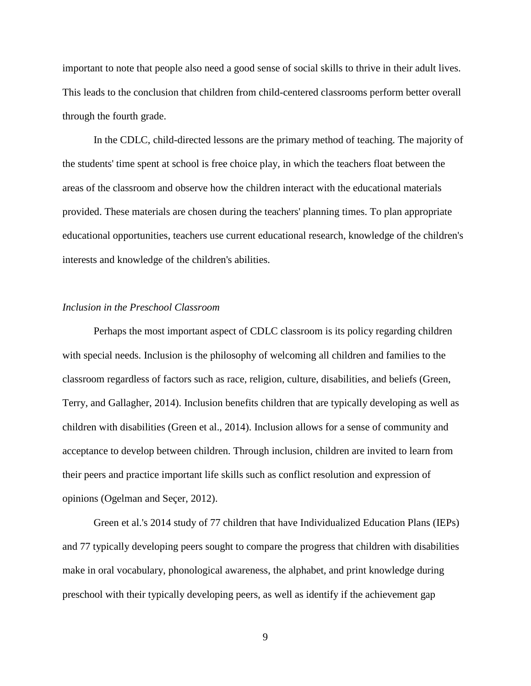important to note that people also need a good sense of social skills to thrive in their adult lives. This leads to the conclusion that children from child-centered classrooms perform better overall through the fourth grade.

In the CDLC, child-directed lessons are the primary method of teaching. The majority of the students' time spent at school is free choice play, in which the teachers float between the areas of the classroom and observe how the children interact with the educational materials provided. These materials are chosen during the teachers' planning times. To plan appropriate educational opportunities, teachers use current educational research, knowledge of the children's interests and knowledge of the children's abilities.

#### *Inclusion in the Preschool Classroom*

Perhaps the most important aspect of CDLC classroom is its policy regarding children with special needs. Inclusion is the philosophy of welcoming all children and families to the classroom regardless of factors such as race, religion, culture, disabilities, and beliefs (Green, Terry, and Gallagher, 2014). Inclusion benefits children that are typically developing as well as children with disabilities (Green et al., 2014). Inclusion allows for a sense of community and acceptance to develop between children. Through inclusion, children are invited to learn from their peers and practice important life skills such as conflict resolution and expression of opinions (Ogelman and Seçer, 2012).

Green et al.'s 2014 study of 77 children that have Individualized Education Plans (IEPs) and 77 typically developing peers sought to compare the progress that children with disabilities make in oral vocabulary, phonological awareness, the alphabet, and print knowledge during preschool with their typically developing peers, as well as identify if the achievement gap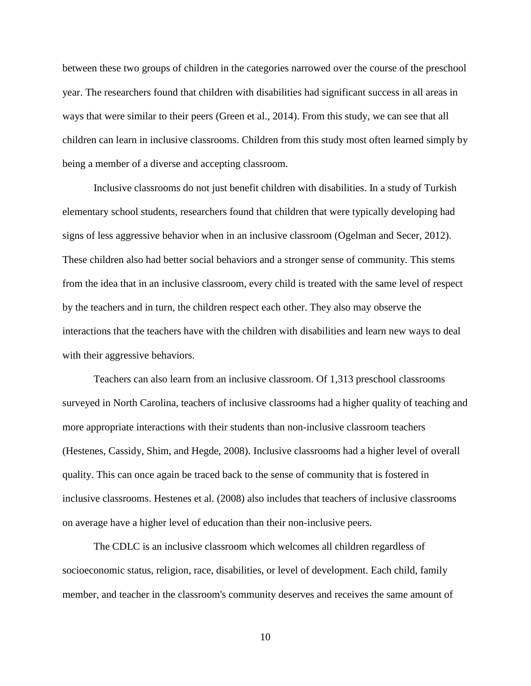between these two groups of children in the categories narrowed over the course of the preschool year. The researchers found that children with disabilities had significant success in all areas in ways that were similar to their peers (Green et al., 2014). From this study, we can see that all children can learn in inclusive classrooms. Children from this study most often learned simply by being a member of a diverse and accepting classroom.

Inclusive classrooms do not just benefit children with disabilities. In a study of Turkish elementary school students, researchers found that children that were typically developing had signs of less aggressive behavior when in an inclusive classroom (Ogelman and Secer, 2012). These children also had better social behaviors and a stronger sense of community. This stems from the idea that in an inclusive classroom, every child is treated with the same level of respect by the teachers and in turn, the children respect each other. They also may observe the interactions that the teachers have with the children with disabilities and learn new ways to deal with their aggressive behaviors.

Teachers can also learn from an inclusive classroom. Of 1,313 preschool classrooms surveyed in North Carolina, teachers of inclusive classrooms had a higher quality of teaching and more appropriate interactions with their students than non-inclusive classroom teachers (Hestenes, Cassidy, Shim, and Hegde, 2008). Inclusive classrooms had a higher level of overall quality. This can once again be traced back to the sense of community that is fostered in inclusive classrooms. Hestenes et al. (2008) also includes that teachers of inclusive classrooms on average have a higher level of education than their non-inclusive peers.

The CDLC is an inclusive classroom which welcomes all children regardless of socioeconomic status, religion, race, disabilities, or level of development. Each child, family member, and teacher in the classroom's community deserves and receives the same amount of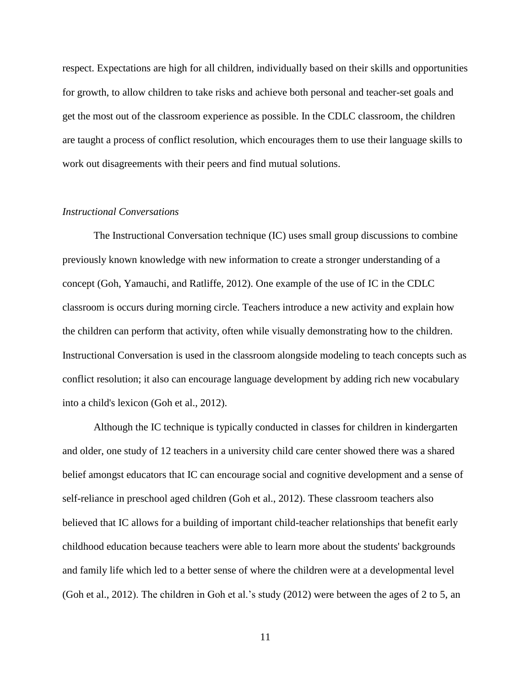respect. Expectations are high for all children, individually based on their skills and opportunities for growth, to allow children to take risks and achieve both personal and teacher-set goals and get the most out of the classroom experience as possible. In the CDLC classroom, the children are taught a process of conflict resolution, which encourages them to use their language skills to work out disagreements with their peers and find mutual solutions.

#### *Instructional Conversations*

The Instructional Conversation technique (IC) uses small group discussions to combine previously known knowledge with new information to create a stronger understanding of a concept (Goh, Yamauchi, and Ratliffe, 2012). One example of the use of IC in the CDLC classroom is occurs during morning circle. Teachers introduce a new activity and explain how the children can perform that activity, often while visually demonstrating how to the children. Instructional Conversation is used in the classroom alongside modeling to teach concepts such as conflict resolution; it also can encourage language development by adding rich new vocabulary into a child's lexicon (Goh et al., 2012).

Although the IC technique is typically conducted in classes for children in kindergarten and older, one study of 12 teachers in a university child care center showed there was a shared belief amongst educators that IC can encourage social and cognitive development and a sense of self-reliance in preschool aged children (Goh et al., 2012). These classroom teachers also believed that IC allows for a building of important child-teacher relationships that benefit early childhood education because teachers were able to learn more about the students' backgrounds and family life which led to a better sense of where the children were at a developmental level (Goh et al., 2012). The children in Goh et al.'s study (2012) were between the ages of 2 to 5, an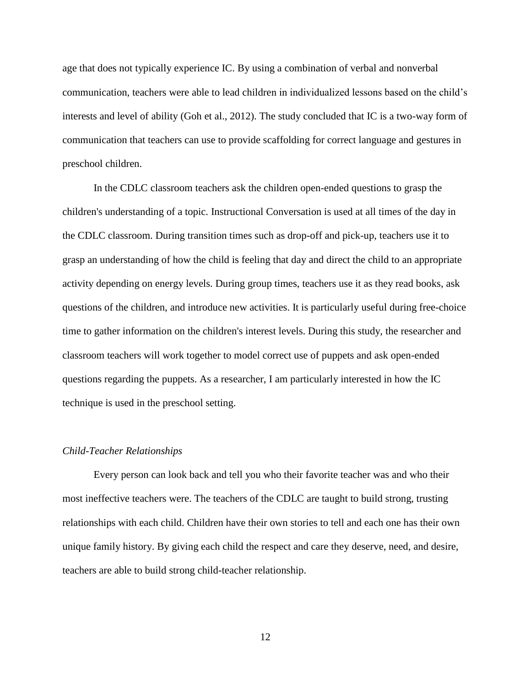age that does not typically experience IC. By using a combination of verbal and nonverbal communication, teachers were able to lead children in individualized lessons based on the child's interests and level of ability (Goh et al., 2012). The study concluded that IC is a two-way form of communication that teachers can use to provide scaffolding for correct language and gestures in preschool children.

In the CDLC classroom teachers ask the children open-ended questions to grasp the children's understanding of a topic. Instructional Conversation is used at all times of the day in the CDLC classroom. During transition times such as drop-off and pick-up, teachers use it to grasp an understanding of how the child is feeling that day and direct the child to an appropriate activity depending on energy levels. During group times, teachers use it as they read books, ask questions of the children, and introduce new activities. It is particularly useful during free-choice time to gather information on the children's interest levels. During this study, the researcher and classroom teachers will work together to model correct use of puppets and ask open-ended questions regarding the puppets. As a researcher, I am particularly interested in how the IC technique is used in the preschool setting.

#### *Child-Teacher Relationships*

Every person can look back and tell you who their favorite teacher was and who their most ineffective teachers were. The teachers of the CDLC are taught to build strong, trusting relationships with each child. Children have their own stories to tell and each one has their own unique family history. By giving each child the respect and care they deserve, need, and desire, teachers are able to build strong child-teacher relationship.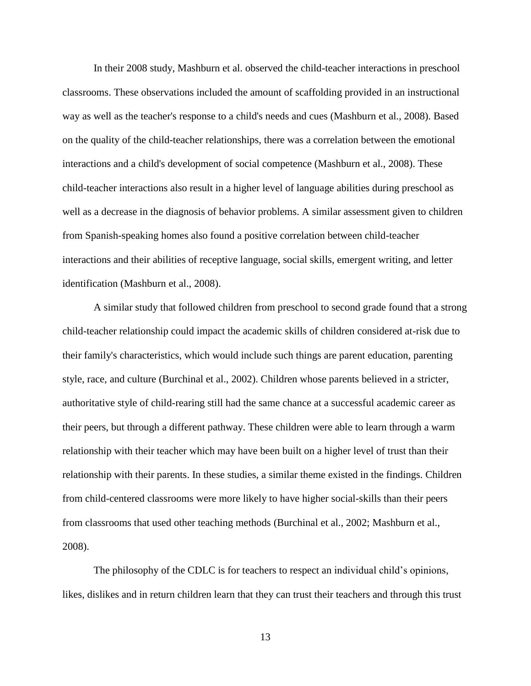In their 2008 study, Mashburn et al. observed the child-teacher interactions in preschool classrooms. These observations included the amount of scaffolding provided in an instructional way as well as the teacher's response to a child's needs and cues (Mashburn et al., 2008). Based on the quality of the child-teacher relationships, there was a correlation between the emotional interactions and a child's development of social competence (Mashburn et al., 2008). These child-teacher interactions also result in a higher level of language abilities during preschool as well as a decrease in the diagnosis of behavior problems. A similar assessment given to children from Spanish-speaking homes also found a positive correlation between child-teacher interactions and their abilities of receptive language, social skills, emergent writing, and letter identification (Mashburn et al., 2008).

A similar study that followed children from preschool to second grade found that a strong child-teacher relationship could impact the academic skills of children considered at-risk due to their family's characteristics, which would include such things are parent education, parenting style, race, and culture (Burchinal et al., 2002). Children whose parents believed in a stricter, authoritative style of child-rearing still had the same chance at a successful academic career as their peers, but through a different pathway. These children were able to learn through a warm relationship with their teacher which may have been built on a higher level of trust than their relationship with their parents. In these studies, a similar theme existed in the findings. Children from child-centered classrooms were more likely to have higher social-skills than their peers from classrooms that used other teaching methods (Burchinal et al., 2002; Mashburn et al., 2008).

The philosophy of the CDLC is for teachers to respect an individual child's opinions, likes, dislikes and in return children learn that they can trust their teachers and through this trust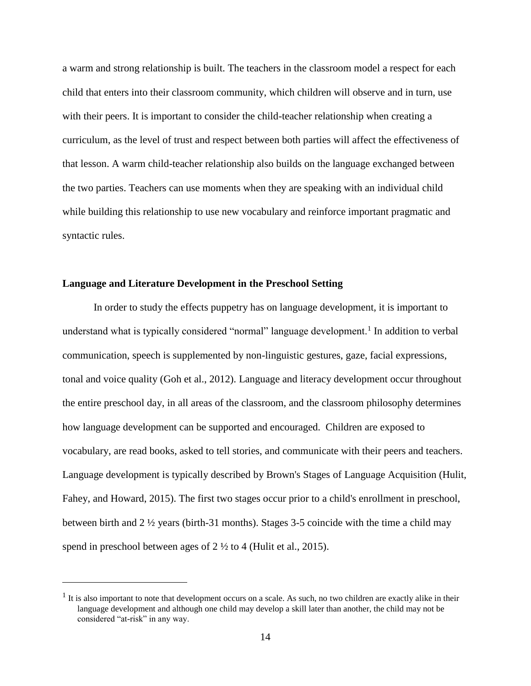a warm and strong relationship is built. The teachers in the classroom model a respect for each child that enters into their classroom community, which children will observe and in turn, use with their peers. It is important to consider the child-teacher relationship when creating a curriculum, as the level of trust and respect between both parties will affect the effectiveness of that lesson. A warm child-teacher relationship also builds on the language exchanged between the two parties. Teachers can use moments when they are speaking with an individual child while building this relationship to use new vocabulary and reinforce important pragmatic and syntactic rules.

#### **Language and Literature Development in the Preschool Setting**

 $\overline{a}$ 

In order to study the effects puppetry has on language development, it is important to understand what is typically considered "normal" language development.<sup>1</sup> In addition to verbal communication, speech is supplemented by non-linguistic gestures, gaze, facial expressions, tonal and voice quality (Goh et al., 2012). Language and literacy development occur throughout the entire preschool day, in all areas of the classroom, and the classroom philosophy determines how language development can be supported and encouraged. Children are exposed to vocabulary, are read books, asked to tell stories, and communicate with their peers and teachers. Language development is typically described by Brown's Stages of Language Acquisition (Hulit, Fahey, and Howard, 2015). The first two stages occur prior to a child's enrollment in preschool, between birth and 2 ½ years (birth-31 months). Stages 3-5 coincide with the time a child may spend in preschool between ages of 2 ½ to 4 (Hulit et al., 2015).

 $<sup>1</sup>$  It is also important to note that development occurs on a scale. As such, no two children are exactly alike in their</sup> language development and although one child may develop a skill later than another, the child may not be considered "at-risk" in any way.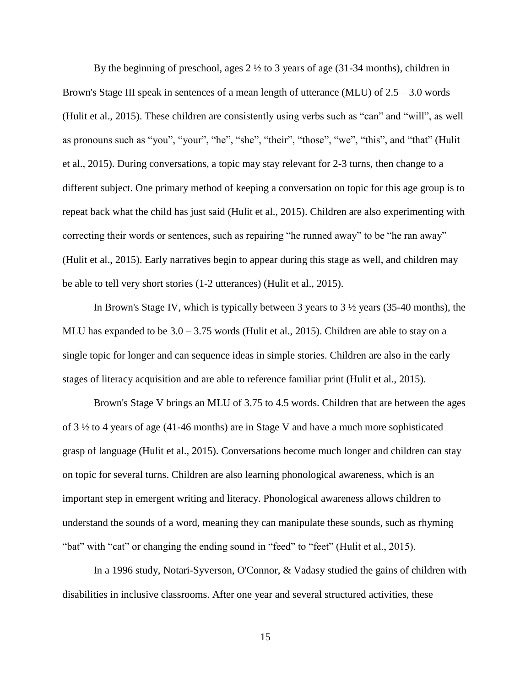By the beginning of preschool, ages  $2 \frac{1}{2}$  to 3 years of age (31-34 months), children in Brown's Stage III speak in sentences of a mean length of utterance (MLU) of  $2.5 - 3.0$  words (Hulit et al., 2015). These children are consistently using verbs such as "can" and "will", as well as pronouns such as "you", "your", "he", "she", "their", "those", "we", "this", and "that" (Hulit et al., 2015). During conversations, a topic may stay relevant for 2-3 turns, then change to a different subject. One primary method of keeping a conversation on topic for this age group is to repeat back what the child has just said (Hulit et al., 2015). Children are also experimenting with correcting their words or sentences, such as repairing "he runned away" to be "he ran away" (Hulit et al., 2015). Early narratives begin to appear during this stage as well, and children may be able to tell very short stories (1-2 utterances) (Hulit et al., 2015).

In Brown's Stage IV, which is typically between 3 years to  $3\frac{1}{2}$  years (35-40 months), the MLU has expanded to be  $3.0 - 3.75$  words (Hulit et al., 2015). Children are able to stay on a single topic for longer and can sequence ideas in simple stories. Children are also in the early stages of literacy acquisition and are able to reference familiar print (Hulit et al., 2015).

Brown's Stage V brings an MLU of 3.75 to 4.5 words. Children that are between the ages of 3 ½ to 4 years of age (41-46 months) are in Stage V and have a much more sophisticated grasp of language (Hulit et al., 2015). Conversations become much longer and children can stay on topic for several turns. Children are also learning phonological awareness, which is an important step in emergent writing and literacy. Phonological awareness allows children to understand the sounds of a word, meaning they can manipulate these sounds, such as rhyming "bat" with "cat" or changing the ending sound in "feed" to "feet" (Hulit et al., 2015).

In a 1996 study, Notari-Syverson, O'Connor, & Vadasy studied the gains of children with disabilities in inclusive classrooms. After one year and several structured activities, these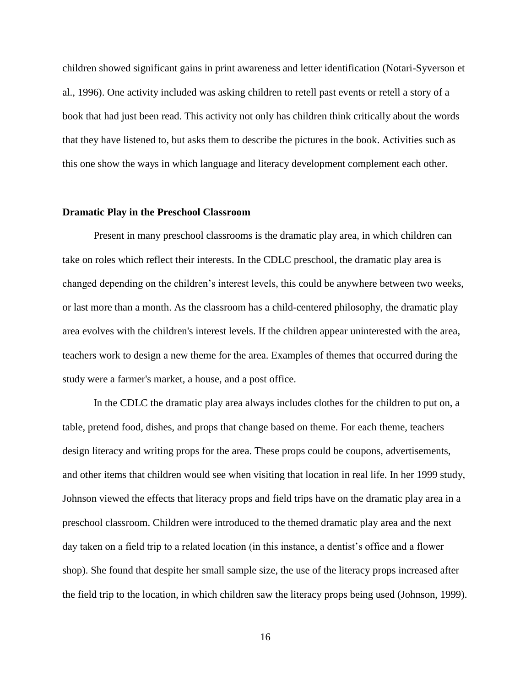children showed significant gains in print awareness and letter identification (Notari-Syverson et al., 1996). One activity included was asking children to retell past events or retell a story of a book that had just been read. This activity not only has children think critically about the words that they have listened to, but asks them to describe the pictures in the book. Activities such as this one show the ways in which language and literacy development complement each other.

#### **Dramatic Play in the Preschool Classroom**

Present in many preschool classrooms is the dramatic play area, in which children can take on roles which reflect their interests. In the CDLC preschool, the dramatic play area is changed depending on the children's interest levels, this could be anywhere between two weeks, or last more than a month. As the classroom has a child-centered philosophy, the dramatic play area evolves with the children's interest levels. If the children appear uninterested with the area, teachers work to design a new theme for the area. Examples of themes that occurred during the study were a farmer's market, a house, and a post office.

In the CDLC the dramatic play area always includes clothes for the children to put on, a table, pretend food, dishes, and props that change based on theme. For each theme, teachers design literacy and writing props for the area. These props could be coupons, advertisements, and other items that children would see when visiting that location in real life. In her 1999 study, Johnson viewed the effects that literacy props and field trips have on the dramatic play area in a preschool classroom. Children were introduced to the themed dramatic play area and the next day taken on a field trip to a related location (in this instance, a dentist's office and a flower shop). She found that despite her small sample size, the use of the literacy props increased after the field trip to the location, in which children saw the literacy props being used (Johnson, 1999).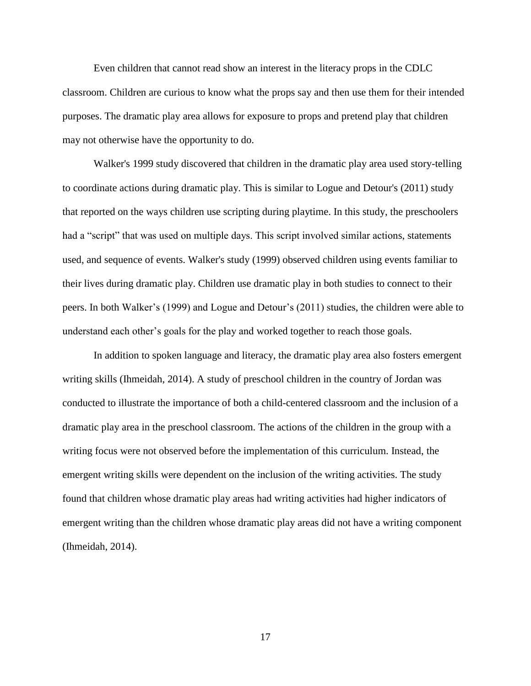Even children that cannot read show an interest in the literacy props in the CDLC classroom. Children are curious to know what the props say and then use them for their intended purposes. The dramatic play area allows for exposure to props and pretend play that children may not otherwise have the opportunity to do.

Walker's 1999 study discovered that children in the dramatic play area used story-telling to coordinate actions during dramatic play. This is similar to Logue and Detour's (2011) study that reported on the ways children use scripting during playtime. In this study, the preschoolers had a "script" that was used on multiple days. This script involved similar actions, statements used, and sequence of events. Walker's study (1999) observed children using events familiar to their lives during dramatic play. Children use dramatic play in both studies to connect to their peers. In both Walker's (1999) and Logue and Detour's (2011) studies, the children were able to understand each other's goals for the play and worked together to reach those goals.

In addition to spoken language and literacy, the dramatic play area also fosters emergent writing skills (Ihmeidah, 2014). A study of preschool children in the country of Jordan was conducted to illustrate the importance of both a child-centered classroom and the inclusion of a dramatic play area in the preschool classroom. The actions of the children in the group with a writing focus were not observed before the implementation of this curriculum. Instead, the emergent writing skills were dependent on the inclusion of the writing activities. The study found that children whose dramatic play areas had writing activities had higher indicators of emergent writing than the children whose dramatic play areas did not have a writing component (Ihmeidah, 2014).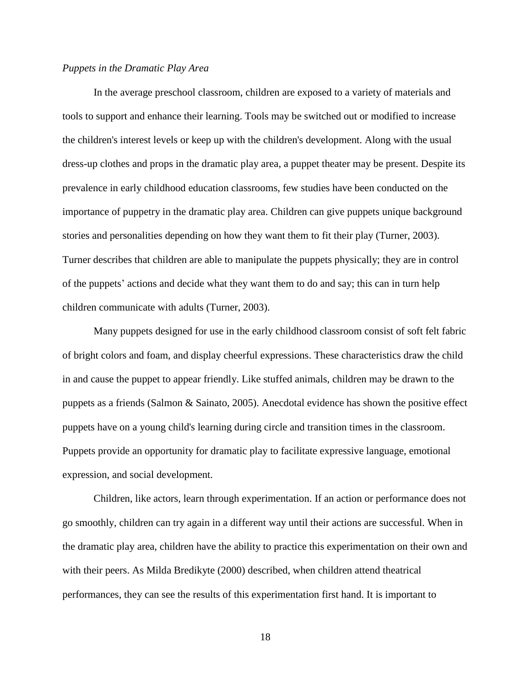#### *Puppets in the Dramatic Play Area*

In the average preschool classroom, children are exposed to a variety of materials and tools to support and enhance their learning. Tools may be switched out or modified to increase the children's interest levels or keep up with the children's development. Along with the usual dress-up clothes and props in the dramatic play area, a puppet theater may be present. Despite its prevalence in early childhood education classrooms, few studies have been conducted on the importance of puppetry in the dramatic play area. Children can give puppets unique background stories and personalities depending on how they want them to fit their play (Turner, 2003). Turner describes that children are able to manipulate the puppets physically; they are in control of the puppets' actions and decide what they want them to do and say; this can in turn help children communicate with adults (Turner, 2003).

Many puppets designed for use in the early childhood classroom consist of soft felt fabric of bright colors and foam, and display cheerful expressions. These characteristics draw the child in and cause the puppet to appear friendly. Like stuffed animals, children may be drawn to the puppets as a friends (Salmon & Sainato, 2005). Anecdotal evidence has shown the positive effect puppets have on a young child's learning during circle and transition times in the classroom. Puppets provide an opportunity for dramatic play to facilitate expressive language, emotional expression, and social development.

Children, like actors, learn through experimentation. If an action or performance does not go smoothly, children can try again in a different way until their actions are successful. When in the dramatic play area, children have the ability to practice this experimentation on their own and with their peers. As Milda Bredikyte (2000) described, when children attend theatrical performances, they can see the results of this experimentation first hand. It is important to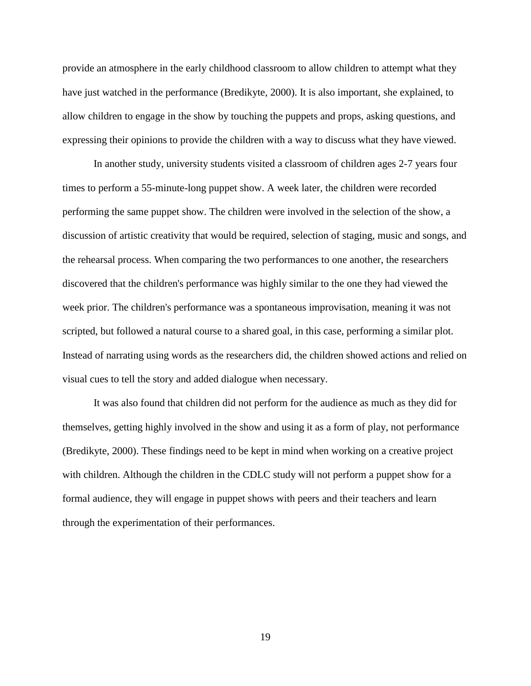provide an atmosphere in the early childhood classroom to allow children to attempt what they have just watched in the performance (Bredikyte, 2000). It is also important, she explained, to allow children to engage in the show by touching the puppets and props, asking questions, and expressing their opinions to provide the children with a way to discuss what they have viewed.

In another study, university students visited a classroom of children ages 2-7 years four times to perform a 55-minute-long puppet show. A week later, the children were recorded performing the same puppet show. The children were involved in the selection of the show, a discussion of artistic creativity that would be required, selection of staging, music and songs, and the rehearsal process. When comparing the two performances to one another, the researchers discovered that the children's performance was highly similar to the one they had viewed the week prior. The children's performance was a spontaneous improvisation, meaning it was not scripted, but followed a natural course to a shared goal, in this case, performing a similar plot. Instead of narrating using words as the researchers did, the children showed actions and relied on visual cues to tell the story and added dialogue when necessary.

It was also found that children did not perform for the audience as much as they did for themselves, getting highly involved in the show and using it as a form of play, not performance (Bredikyte, 2000). These findings need to be kept in mind when working on a creative project with children. Although the children in the CDLC study will not perform a puppet show for a formal audience, they will engage in puppet shows with peers and their teachers and learn through the experimentation of their performances.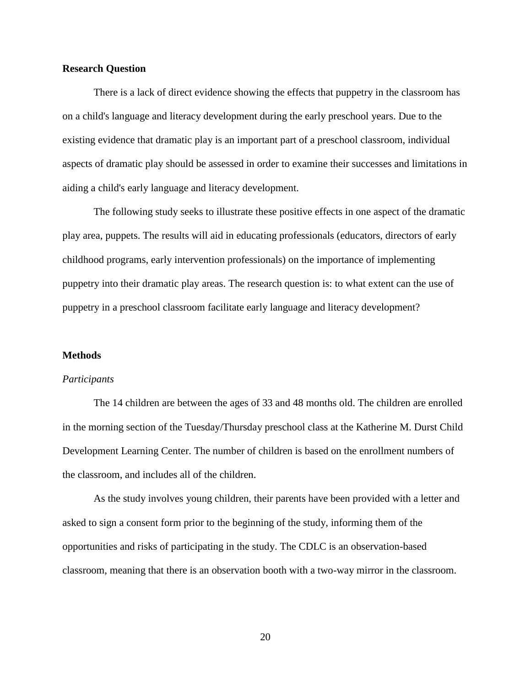#### **Research Question**

There is a lack of direct evidence showing the effects that puppetry in the classroom has on a child's language and literacy development during the early preschool years. Due to the existing evidence that dramatic play is an important part of a preschool classroom, individual aspects of dramatic play should be assessed in order to examine their successes and limitations in aiding a child's early language and literacy development.

The following study seeks to illustrate these positive effects in one aspect of the dramatic play area, puppets. The results will aid in educating professionals (educators, directors of early childhood programs, early intervention professionals) on the importance of implementing puppetry into their dramatic play areas. The research question is: to what extent can the use of puppetry in a preschool classroom facilitate early language and literacy development?

#### **Methods**

#### *Participants*

The 14 children are between the ages of 33 and 48 months old. The children are enrolled in the morning section of the Tuesday/Thursday preschool class at the Katherine M. Durst Child Development Learning Center. The number of children is based on the enrollment numbers of the classroom, and includes all of the children.

As the study involves young children, their parents have been provided with a letter and asked to sign a consent form prior to the beginning of the study, informing them of the opportunities and risks of participating in the study. The CDLC is an observation-based classroom, meaning that there is an observation booth with a two-way mirror in the classroom.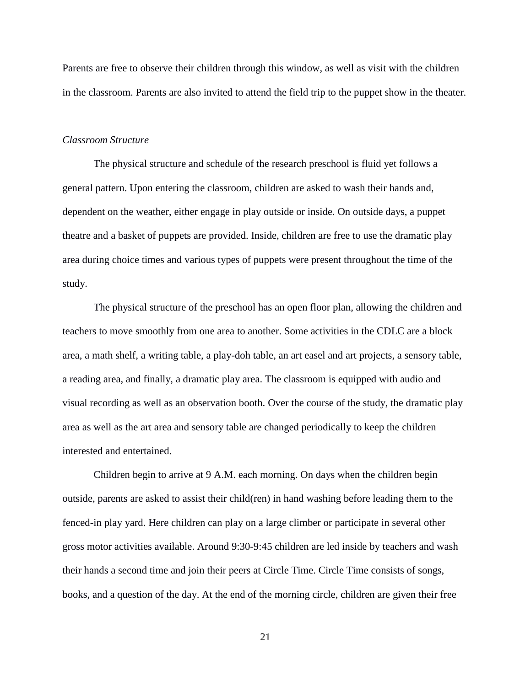Parents are free to observe their children through this window, as well as visit with the children in the classroom. Parents are also invited to attend the field trip to the puppet show in the theater.

#### *Classroom Structure*

The physical structure and schedule of the research preschool is fluid yet follows a general pattern. Upon entering the classroom, children are asked to wash their hands and, dependent on the weather, either engage in play outside or inside. On outside days, a puppet theatre and a basket of puppets are provided. Inside, children are free to use the dramatic play area during choice times and various types of puppets were present throughout the time of the study.

The physical structure of the preschool has an open floor plan, allowing the children and teachers to move smoothly from one area to another. Some activities in the CDLC are a block area, a math shelf, a writing table, a play-doh table, an art easel and art projects, a sensory table, a reading area, and finally, a dramatic play area. The classroom is equipped with audio and visual recording as well as an observation booth. Over the course of the study, the dramatic play area as well as the art area and sensory table are changed periodically to keep the children interested and entertained.

Children begin to arrive at 9 A.M. each morning. On days when the children begin outside, parents are asked to assist their child(ren) in hand washing before leading them to the fenced-in play yard. Here children can play on a large climber or participate in several other gross motor activities available. Around 9:30-9:45 children are led inside by teachers and wash their hands a second time and join their peers at Circle Time. Circle Time consists of songs, books, and a question of the day. At the end of the morning circle, children are given their free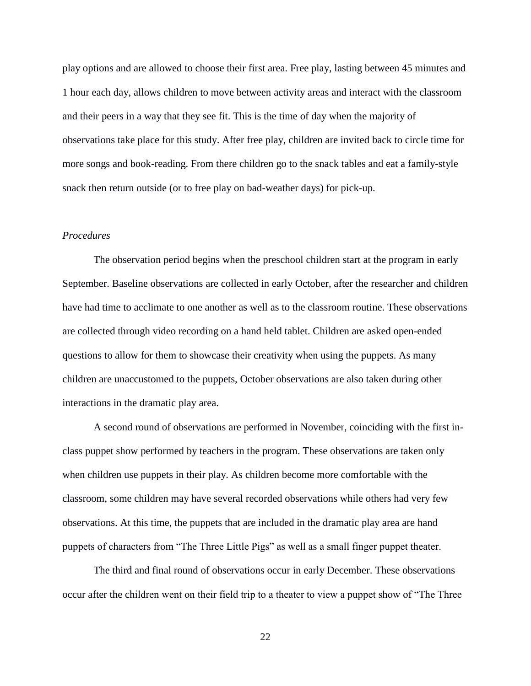play options and are allowed to choose their first area. Free play, lasting between 45 minutes and 1 hour each day, allows children to move between activity areas and interact with the classroom and their peers in a way that they see fit. This is the time of day when the majority of observations take place for this study. After free play, children are invited back to circle time for more songs and book-reading. From there children go to the snack tables and eat a family-style snack then return outside (or to free play on bad-weather days) for pick-up.

### *Procedures*

The observation period begins when the preschool children start at the program in early September. Baseline observations are collected in early October, after the researcher and children have had time to acclimate to one another as well as to the classroom routine. These observations are collected through video recording on a hand held tablet. Children are asked open-ended questions to allow for them to showcase their creativity when using the puppets. As many children are unaccustomed to the puppets, October observations are also taken during other interactions in the dramatic play area.

A second round of observations are performed in November, coinciding with the first inclass puppet show performed by teachers in the program. These observations are taken only when children use puppets in their play. As children become more comfortable with the classroom, some children may have several recorded observations while others had very few observations. At this time, the puppets that are included in the dramatic play area are hand puppets of characters from "The Three Little Pigs" as well as a small finger puppet theater.

The third and final round of observations occur in early December. These observations occur after the children went on their field trip to a theater to view a puppet show of "The Three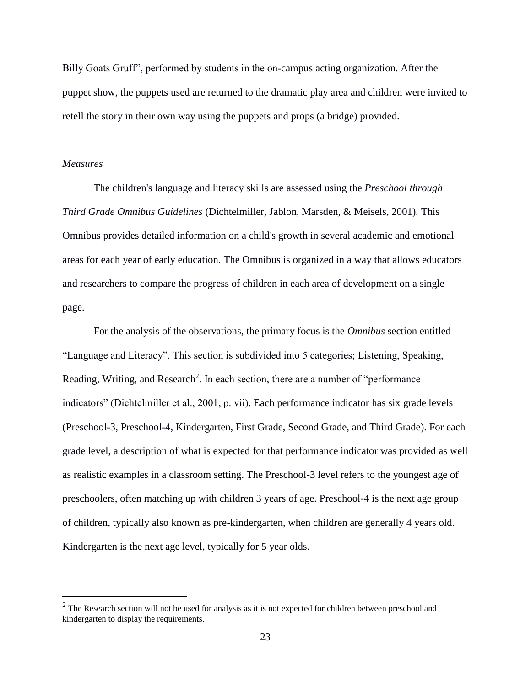Billy Goats Gruff", performed by students in the on-campus acting organization. After the puppet show, the puppets used are returned to the dramatic play area and children were invited to retell the story in their own way using the puppets and props (a bridge) provided.

#### *Measures*

 $\overline{a}$ 

The children's language and literacy skills are assessed using the *Preschool through Third Grade Omnibus Guidelines* (Dichtelmiller, Jablon, Marsden, & Meisels, 2001)*.* This Omnibus provides detailed information on a child's growth in several academic and emotional areas for each year of early education. The Omnibus is organized in a way that allows educators and researchers to compare the progress of children in each area of development on a single page.

For the analysis of the observations, the primary focus is the *Omnibus* section entitled "Language and Literacy". This section is subdivided into 5 categories; Listening, Speaking, Reading, Writing, and Research<sup>2</sup>. In each section, there are a number of "performance indicators" (Dichtelmiller et al., 2001, p. vii). Each performance indicator has six grade levels (Preschool-3, Preschool-4, Kindergarten, First Grade, Second Grade, and Third Grade). For each grade level, a description of what is expected for that performance indicator was provided as well as realistic examples in a classroom setting. The Preschool-3 level refers to the youngest age of preschoolers, often matching up with children 3 years of age. Preschool-4 is the next age group of children, typically also known as pre-kindergarten, when children are generally 4 years old. Kindergarten is the next age level, typically for 5 year olds.

 $2$  The Research section will not be used for analysis as it is not expected for children between preschool and kindergarten to display the requirements.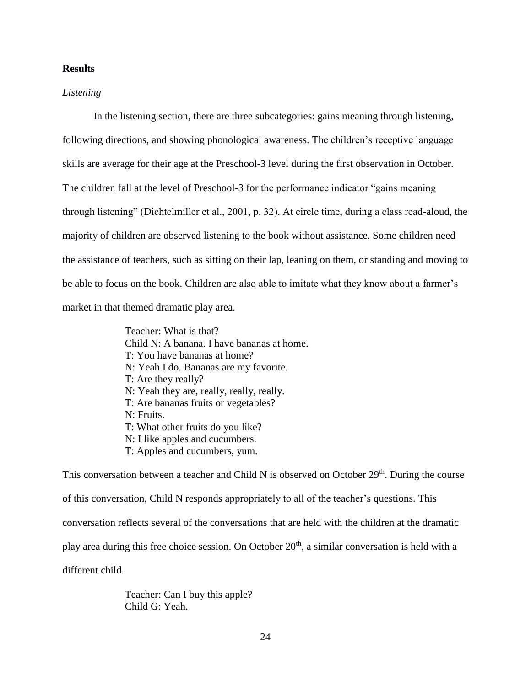### **Results**

#### *Listening*

In the listening section, there are three subcategories: gains meaning through listening, following directions, and showing phonological awareness. The children's receptive language skills are average for their age at the Preschool-3 level during the first observation in October. The children fall at the level of Preschool-3 for the performance indicator "gains meaning through listening" (Dichtelmiller et al., 2001, p. 32). At circle time, during a class read-aloud, the majority of children are observed listening to the book without assistance. Some children need the assistance of teachers, such as sitting on their lap, leaning on them, or standing and moving to be able to focus on the book. Children are also able to imitate what they know about a farmer's market in that themed dramatic play area.

> Teacher: What is that? Child N: A banana. I have bananas at home. T: You have bananas at home? N: Yeah I do. Bananas are my favorite. T: Are they really? N: Yeah they are, really, really, really. T: Are bananas fruits or vegetables? N: Fruits. T: What other fruits do you like? N: I like apples and cucumbers. T: Apples and cucumbers, yum.

This conversation between a teacher and Child N is observed on October  $29<sup>th</sup>$ . During the course of this conversation, Child N responds appropriately to all of the teacher's questions. This conversation reflects several of the conversations that are held with the children at the dramatic play area during this free choice session. On October 20<sup>th</sup>, a similar conversation is held with a different child.

> Teacher: Can I buy this apple? Child G: Yeah.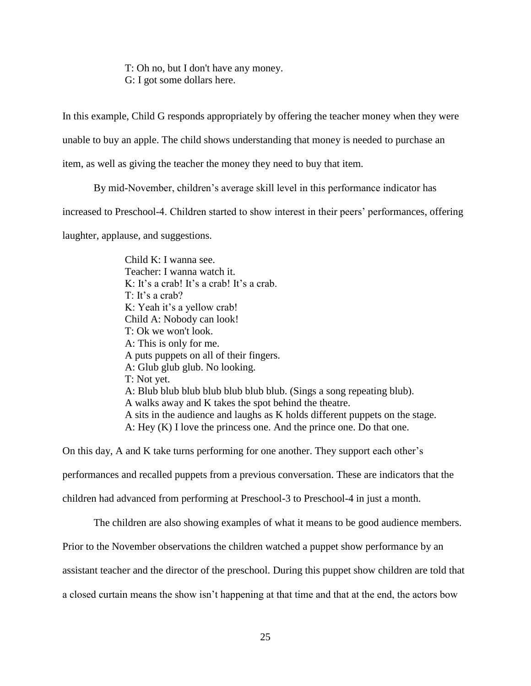T: Oh no, but I don't have any money. G: I got some dollars here.

In this example, Child G responds appropriately by offering the teacher money when they were

unable to buy an apple. The child shows understanding that money is needed to purchase an

item, as well as giving the teacher the money they need to buy that item.

By mid-November, children's average skill level in this performance indicator has

increased to Preschool-4. Children started to show interest in their peers' performances, offering

laughter, applause, and suggestions.

Child K: I wanna see. Teacher: I wanna watch it. K: It's a crab! It's a crab! It's a crab. T: It's a crab? K: Yeah it's a yellow crab! Child A: Nobody can look! T: Ok we won't look. A: This is only for me. A puts puppets on all of their fingers. A: Glub glub glub. No looking. T: Not yet. A: Blub blub blub blub blub blub blub. (Sings a song repeating blub). A walks away and K takes the spot behind the theatre. A sits in the audience and laughs as K holds different puppets on the stage. A: Hey (K) I love the princess one. And the prince one. Do that one.

On this day, A and K take turns performing for one another. They support each other's performances and recalled puppets from a previous conversation. These are indicators that the children had advanced from performing at Preschool-3 to Preschool-4 in just a month.

The children are also showing examples of what it means to be good audience members.

Prior to the November observations the children watched a puppet show performance by an

assistant teacher and the director of the preschool. During this puppet show children are told that

a closed curtain means the show isn't happening at that time and that at the end, the actors bow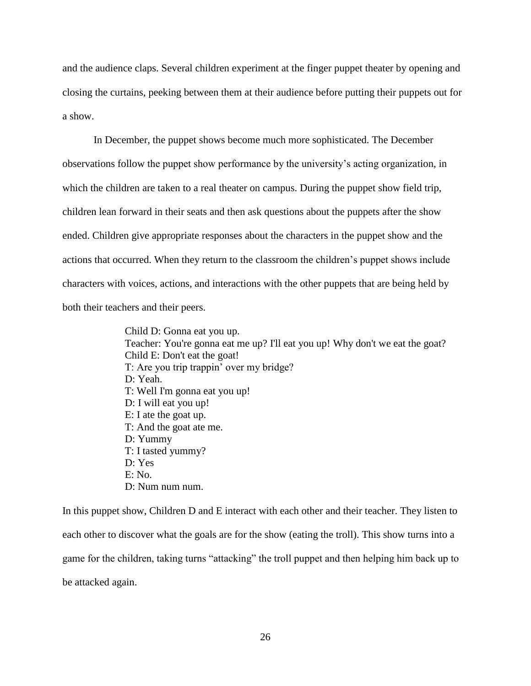and the audience claps. Several children experiment at the finger puppet theater by opening and closing the curtains, peeking between them at their audience before putting their puppets out for a show.

In December, the puppet shows become much more sophisticated. The December observations follow the puppet show performance by the university's acting organization, in which the children are taken to a real theater on campus. During the puppet show field trip, children lean forward in their seats and then ask questions about the puppets after the show ended. Children give appropriate responses about the characters in the puppet show and the actions that occurred. When they return to the classroom the children's puppet shows include characters with voices, actions, and interactions with the other puppets that are being held by both their teachers and their peers.

> Child D: Gonna eat you up. Teacher: You're gonna eat me up? I'll eat you up! Why don't we eat the goat? Child E: Don't eat the goat! T: Are you trip trappin' over my bridge? D: Yeah. T: Well I'm gonna eat you up! D: I will eat you up! E: I ate the goat up. T: And the goat ate me. D: Yummy T: I tasted yummy? D: Yes E: No. D: Num num num.

In this puppet show, Children D and E interact with each other and their teacher. They listen to each other to discover what the goals are for the show (eating the troll). This show turns into a game for the children, taking turns "attacking" the troll puppet and then helping him back up to be attacked again.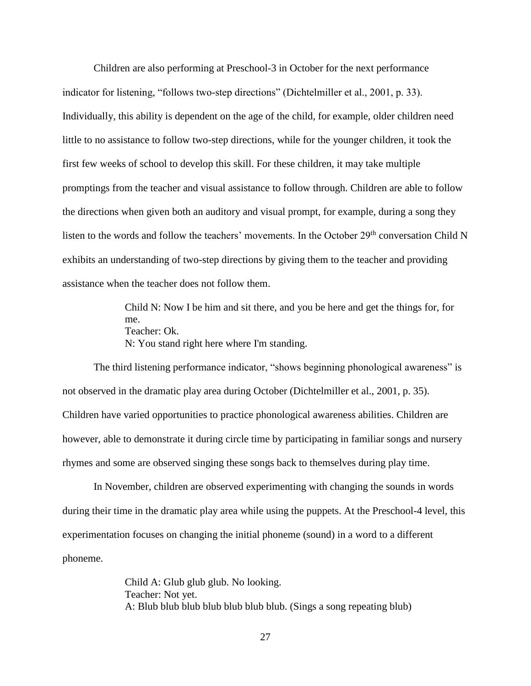Children are also performing at Preschool-3 in October for the next performance indicator for listening, "follows two-step directions" (Dichtelmiller et al., 2001, p. 33). Individually, this ability is dependent on the age of the child, for example, older children need little to no assistance to follow two-step directions, while for the younger children, it took the first few weeks of school to develop this skill. For these children, it may take multiple promptings from the teacher and visual assistance to follow through. Children are able to follow the directions when given both an auditory and visual prompt, for example, during a song they listen to the words and follow the teachers' movements. In the October 29<sup>th</sup> conversation Child N exhibits an understanding of two-step directions by giving them to the teacher and providing assistance when the teacher does not follow them.

> Child N: Now I be him and sit there, and you be here and get the things for, for me. Teacher: Ok. N: You stand right here where I'm standing.

The third listening performance indicator, "shows beginning phonological awareness" is not observed in the dramatic play area during October (Dichtelmiller et al., 2001, p. 35). Children have varied opportunities to practice phonological awareness abilities. Children are however, able to demonstrate it during circle time by participating in familiar songs and nursery rhymes and some are observed singing these songs back to themselves during play time.

In November, children are observed experimenting with changing the sounds in words during their time in the dramatic play area while using the puppets. At the Preschool-4 level, this experimentation focuses on changing the initial phoneme (sound) in a word to a different phoneme.

> Child A: Glub glub glub. No looking. Teacher: Not yet. A: Blub blub blub blub blub blub blub. (Sings a song repeating blub)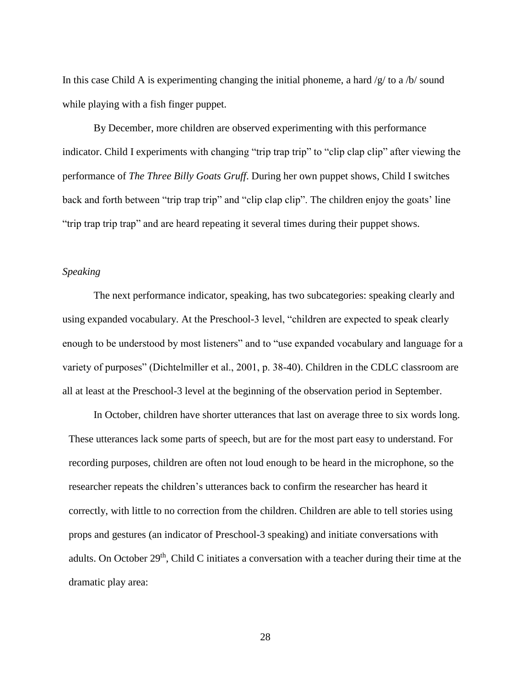In this case Child A is experimenting changing the initial phoneme, a hard  $/g/$  to a  $/b/$  sound while playing with a fish finger puppet.

By December, more children are observed experimenting with this performance indicator. Child I experiments with changing "trip trap trip" to "clip clap clip" after viewing the performance of *The Three Billy Goats Gruff*. During her own puppet shows, Child I switches back and forth between "trip trap trip" and "clip clap clip". The children enjoy the goats' line "trip trap trip trap" and are heard repeating it several times during their puppet shows.

#### *Speaking*

The next performance indicator, speaking, has two subcategories: speaking clearly and using expanded vocabulary. At the Preschool-3 level, "children are expected to speak clearly enough to be understood by most listeners" and to "use expanded vocabulary and language for a variety of purposes" (Dichtelmiller et al., 2001, p. 38-40). Children in the CDLC classroom are all at least at the Preschool-3 level at the beginning of the observation period in September.

In October, children have shorter utterances that last on average three to six words long. These utterances lack some parts of speech, but are for the most part easy to understand. For recording purposes, children are often not loud enough to be heard in the microphone, so the researcher repeats the children's utterances back to confirm the researcher has heard it correctly, with little to no correction from the children. Children are able to tell stories using props and gestures (an indicator of Preschool-3 speaking) and initiate conversations with adults. On October  $29<sup>th</sup>$ , Child C initiates a conversation with a teacher during their time at the dramatic play area: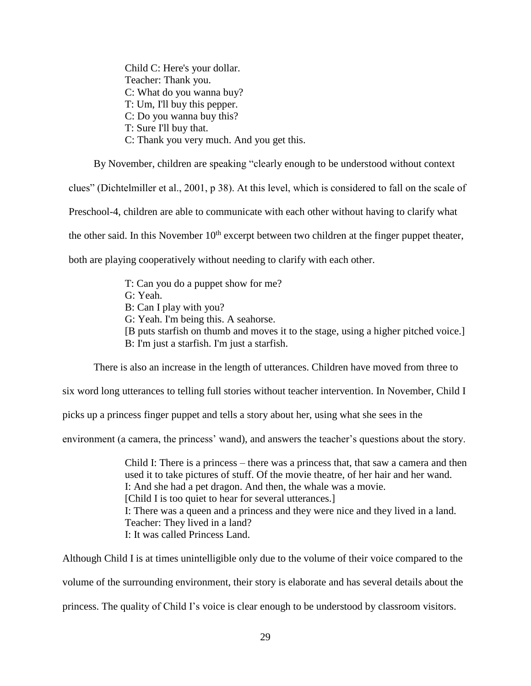Child C: Here's your dollar. Teacher: Thank you. C: What do you wanna buy? T: Um, I'll buy this pepper. C: Do you wanna buy this? T: Sure I'll buy that. C: Thank you very much. And you get this.

By November, children are speaking "clearly enough to be understood without context clues" (Dichtelmiller et al., 2001, p 38). At this level, which is considered to fall on the scale of Preschool-4, children are able to communicate with each other without having to clarify what the other said. In this November  $10<sup>th</sup>$  excerpt between two children at the finger puppet theater,

both are playing cooperatively without needing to clarify with each other.

T: Can you do a puppet show for me? G: Yeah. B: Can I play with you? G: Yeah. I'm being this. A seahorse. [B puts starfish on thumb and moves it to the stage, using a higher pitched voice.]

B: I'm just a starfish. I'm just a starfish.

There is also an increase in the length of utterances. Children have moved from three to

six word long utterances to telling full stories without teacher intervention. In November, Child I

picks up a princess finger puppet and tells a story about her, using what she sees in the

environment (a camera, the princess' wand), and answers the teacher's questions about the story.

Child I: There is a princess – there was a princess that, that saw a camera and then used it to take pictures of stuff. Of the movie theatre, of her hair and her wand. I: And she had a pet dragon. And then, the whale was a movie. [Child I is too quiet to hear for several utterances.] I: There was a queen and a princess and they were nice and they lived in a land. Teacher: They lived in a land? I: It was called Princess Land.

Although Child I is at times unintelligible only due to the volume of their voice compared to the volume of the surrounding environment, their story is elaborate and has several details about the princess. The quality of Child I's voice is clear enough to be understood by classroom visitors.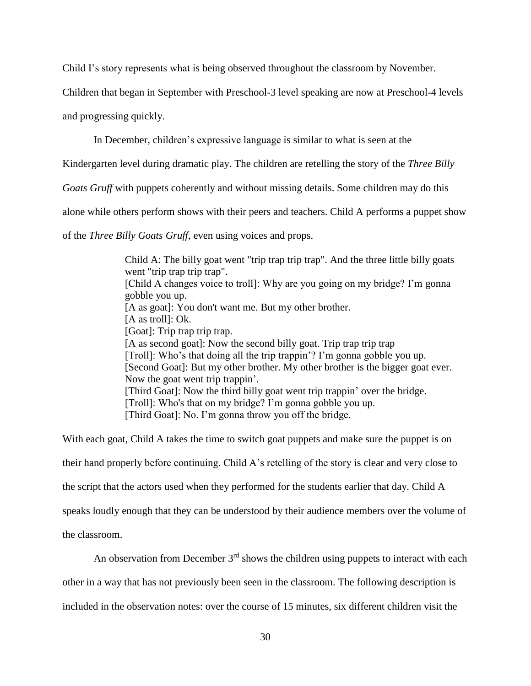Child I's story represents what is being observed throughout the classroom by November.

Children that began in September with Preschool-3 level speaking are now at Preschool-4 levels

and progressing quickly.

In December, children's expressive language is similar to what is seen at the

Kindergarten level during dramatic play. The children are retelling the story of the *Three Billy* 

*Goats Gruff* with puppets coherently and without missing details. Some children may do this

alone while others perform shows with their peers and teachers. Child A performs a puppet show

of the *Three Billy Goats Gruff*, even using voices and props.

Child A: The billy goat went "trip trap trip trap". And the three little billy goats went "trip trap trip trap". [Child A changes voice to troll]: Why are you going on my bridge? I'm gonna gobble you up. [A as goat]: You don't want me. But my other brother. [A as troll]: Ok. [Goat]: Trip trap trip trap. [A as second goat]: Now the second billy goat. Trip trap trip trap [Troll]: Who's that doing all the trip trappin'? I'm gonna gobble you up. [Second Goat]: But my other brother. My other brother is the bigger goat ever. Now the goat went trip trappin'. [Third Goat]: Now the third billy goat went trip trappin' over the bridge. [Troll]: Who's that on my bridge? I'm gonna gobble you up. [Third Goat]: No. I'm gonna throw you off the bridge.

With each goat, Child A takes the time to switch goat puppets and make sure the puppet is on their hand properly before continuing. Child A's retelling of the story is clear and very close to the script that the actors used when they performed for the students earlier that day. Child A speaks loudly enough that they can be understood by their audience members over the volume of the classroom.

An observation from December  $3<sup>rd</sup>$  shows the children using puppets to interact with each

other in a way that has not previously been seen in the classroom. The following description is

included in the observation notes: over the course of 15 minutes, six different children visit the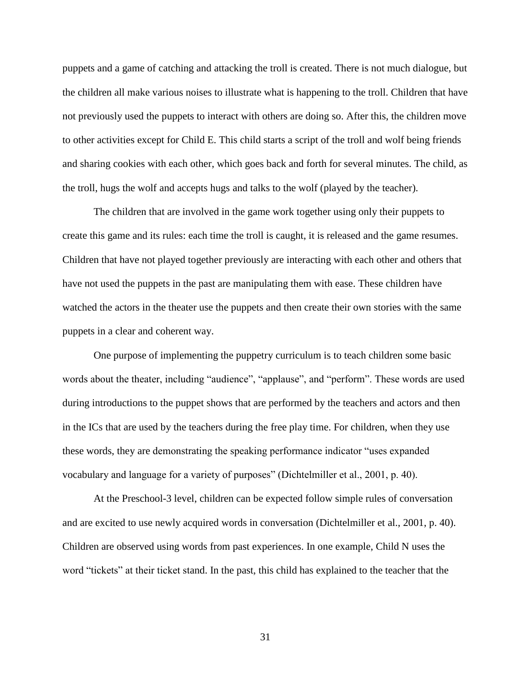puppets and a game of catching and attacking the troll is created. There is not much dialogue, but the children all make various noises to illustrate what is happening to the troll. Children that have not previously used the puppets to interact with others are doing so. After this, the children move to other activities except for Child E. This child starts a script of the troll and wolf being friends and sharing cookies with each other, which goes back and forth for several minutes. The child, as the troll, hugs the wolf and accepts hugs and talks to the wolf (played by the teacher).

The children that are involved in the game work together using only their puppets to create this game and its rules: each time the troll is caught, it is released and the game resumes. Children that have not played together previously are interacting with each other and others that have not used the puppets in the past are manipulating them with ease. These children have watched the actors in the theater use the puppets and then create their own stories with the same puppets in a clear and coherent way.

One purpose of implementing the puppetry curriculum is to teach children some basic words about the theater, including "audience", "applause", and "perform". These words are used during introductions to the puppet shows that are performed by the teachers and actors and then in the ICs that are used by the teachers during the free play time. For children, when they use these words, they are demonstrating the speaking performance indicator "uses expanded vocabulary and language for a variety of purposes" (Dichtelmiller et al., 2001, p. 40).

At the Preschool-3 level, children can be expected follow simple rules of conversation and are excited to use newly acquired words in conversation (Dichtelmiller et al., 2001, p. 40). Children are observed using words from past experiences. In one example, Child N uses the word "tickets" at their ticket stand. In the past, this child has explained to the teacher that the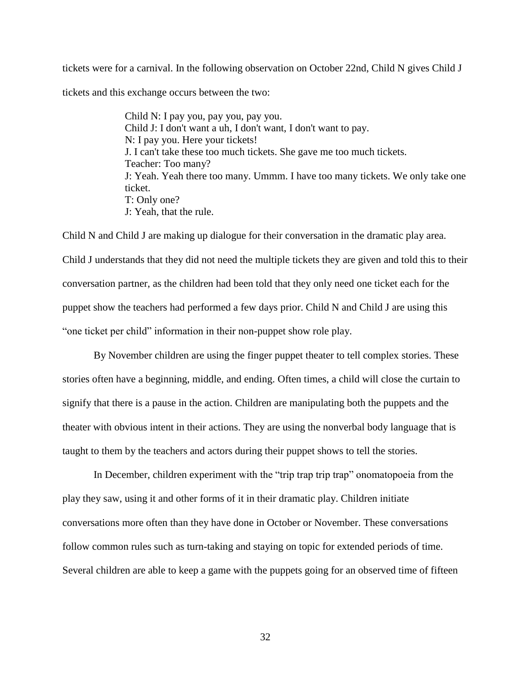tickets were for a carnival. In the following observation on October 22nd, Child N gives Child J tickets and this exchange occurs between the two:

> Child N: I pay you, pay you, pay you. Child J: I don't want a uh, I don't want, I don't want to pay. N: I pay you. Here your tickets! J. I can't take these too much tickets. She gave me too much tickets. Teacher: Too many? J: Yeah. Yeah there too many. Ummm. I have too many tickets. We only take one ticket. T: Only one? J: Yeah, that the rule.

Child N and Child J are making up dialogue for their conversation in the dramatic play area. Child J understands that they did not need the multiple tickets they are given and told this to their conversation partner, as the children had been told that they only need one ticket each for the puppet show the teachers had performed a few days prior. Child N and Child J are using this "one ticket per child" information in their non-puppet show role play.

By November children are using the finger puppet theater to tell complex stories. These stories often have a beginning, middle, and ending. Often times, a child will close the curtain to signify that there is a pause in the action. Children are manipulating both the puppets and the theater with obvious intent in their actions. They are using the nonverbal body language that is taught to them by the teachers and actors during their puppet shows to tell the stories.

In December, children experiment with the "trip trap trip trap" onomatopoeia from the play they saw, using it and other forms of it in their dramatic play. Children initiate conversations more often than they have done in October or November. These conversations follow common rules such as turn-taking and staying on topic for extended periods of time. Several children are able to keep a game with the puppets going for an observed time of fifteen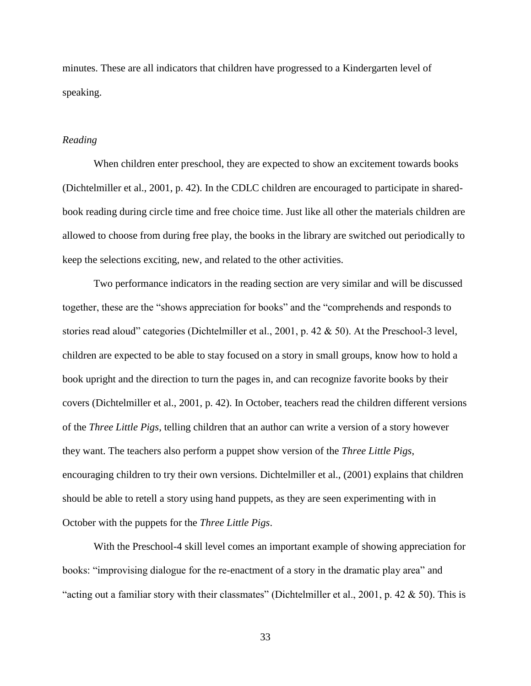minutes. These are all indicators that children have progressed to a Kindergarten level of speaking.

### *Reading*

When children enter preschool, they are expected to show an excitement towards books (Dichtelmiller et al., 2001, p. 42). In the CDLC children are encouraged to participate in sharedbook reading during circle time and free choice time. Just like all other the materials children are allowed to choose from during free play, the books in the library are switched out periodically to keep the selections exciting, new, and related to the other activities.

Two performance indicators in the reading section are very similar and will be discussed together, these are the "shows appreciation for books" and the "comprehends and responds to stories read aloud" categories (Dichtelmiller et al., 2001, p. 42 & 50). At the Preschool-3 level, children are expected to be able to stay focused on a story in small groups, know how to hold a book upright and the direction to turn the pages in, and can recognize favorite books by their covers (Dichtelmiller et al., 2001, p. 42). In October, teachers read the children different versions of the *Three Little Pigs*, telling children that an author can write a version of a story however they want. The teachers also perform a puppet show version of the *Three Little Pigs*, encouraging children to try their own versions. Dichtelmiller et al., (2001) explains that children should be able to retell a story using hand puppets, as they are seen experimenting with in October with the puppets for the *Three Little Pigs*.

With the Preschool-4 skill level comes an important example of showing appreciation for books: "improvising dialogue for the re-enactment of a story in the dramatic play area" and "acting out a familiar story with their classmates" (Dichtelmiller et al., 2001, p. 42  $\&$  50). This is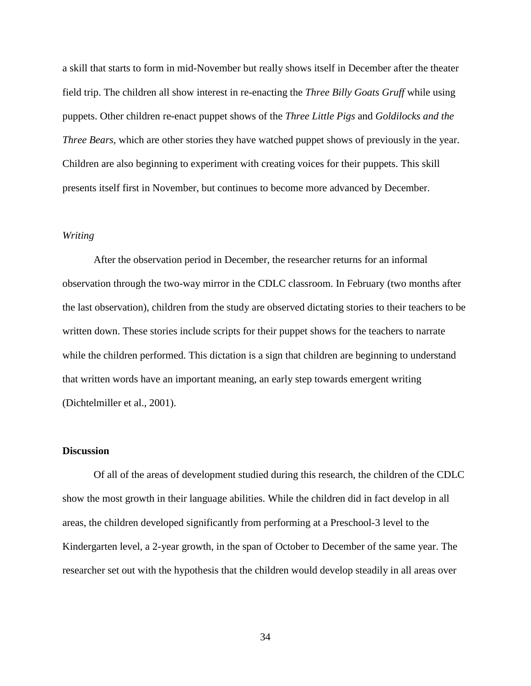a skill that starts to form in mid-November but really shows itself in December after the theater field trip. The children all show interest in re-enacting the *Three Billy Goats Gruff* while using puppets. Other children re-enact puppet shows of the *Three Little Pigs* and *Goldilocks and the Three Bears*, which are other stories they have watched puppet shows of previously in the year. Children are also beginning to experiment with creating voices for their puppets. This skill presents itself first in November, but continues to become more advanced by December.

### *Writing*

After the observation period in December, the researcher returns for an informal observation through the two-way mirror in the CDLC classroom. In February (two months after the last observation), children from the study are observed dictating stories to their teachers to be written down. These stories include scripts for their puppet shows for the teachers to narrate while the children performed. This dictation is a sign that children are beginning to understand that written words have an important meaning, an early step towards emergent writing (Dichtelmiller et al., 2001).

#### **Discussion**

Of all of the areas of development studied during this research, the children of the CDLC show the most growth in their language abilities. While the children did in fact develop in all areas, the children developed significantly from performing at a Preschool-3 level to the Kindergarten level, a 2-year growth, in the span of October to December of the same year. The researcher set out with the hypothesis that the children would develop steadily in all areas over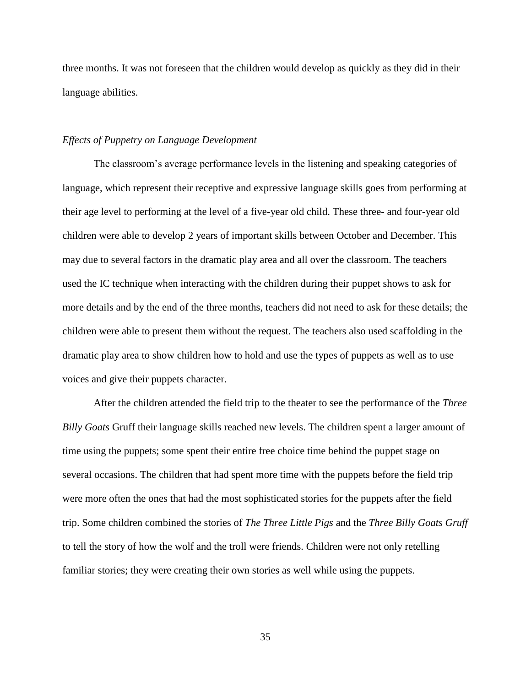three months. It was not foreseen that the children would develop as quickly as they did in their language abilities.

#### *Effects of Puppetry on Language Development*

The classroom's average performance levels in the listening and speaking categories of language, which represent their receptive and expressive language skills goes from performing at their age level to performing at the level of a five-year old child. These three- and four-year old children were able to develop 2 years of important skills between October and December. This may due to several factors in the dramatic play area and all over the classroom. The teachers used the IC technique when interacting with the children during their puppet shows to ask for more details and by the end of the three months, teachers did not need to ask for these details; the children were able to present them without the request. The teachers also used scaffolding in the dramatic play area to show children how to hold and use the types of puppets as well as to use voices and give their puppets character.

After the children attended the field trip to the theater to see the performance of the *Three Billy Goats* Gruff their language skills reached new levels. The children spent a larger amount of time using the puppets; some spent their entire free choice time behind the puppet stage on several occasions. The children that had spent more time with the puppets before the field trip were more often the ones that had the most sophisticated stories for the puppets after the field trip. Some children combined the stories of *The Three Little Pigs* and the *Three Billy Goats Gruff*  to tell the story of how the wolf and the troll were friends. Children were not only retelling familiar stories; they were creating their own stories as well while using the puppets.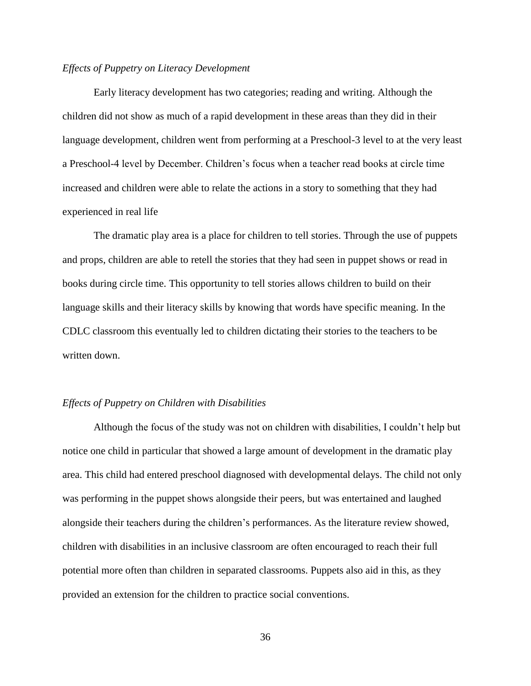### *Effects of Puppetry on Literacy Development*

Early literacy development has two categories; reading and writing. Although the children did not show as much of a rapid development in these areas than they did in their language development, children went from performing at a Preschool-3 level to at the very least a Preschool-4 level by December. Children's focus when a teacher read books at circle time increased and children were able to relate the actions in a story to something that they had experienced in real life

The dramatic play area is a place for children to tell stories. Through the use of puppets and props, children are able to retell the stories that they had seen in puppet shows or read in books during circle time. This opportunity to tell stories allows children to build on their language skills and their literacy skills by knowing that words have specific meaning. In the CDLC classroom this eventually led to children dictating their stories to the teachers to be written down.

#### *Effects of Puppetry on Children with Disabilities*

Although the focus of the study was not on children with disabilities, I couldn't help but notice one child in particular that showed a large amount of development in the dramatic play area. This child had entered preschool diagnosed with developmental delays. The child not only was performing in the puppet shows alongside their peers, but was entertained and laughed alongside their teachers during the children's performances. As the literature review showed, children with disabilities in an inclusive classroom are often encouraged to reach their full potential more often than children in separated classrooms. Puppets also aid in this, as they provided an extension for the children to practice social conventions.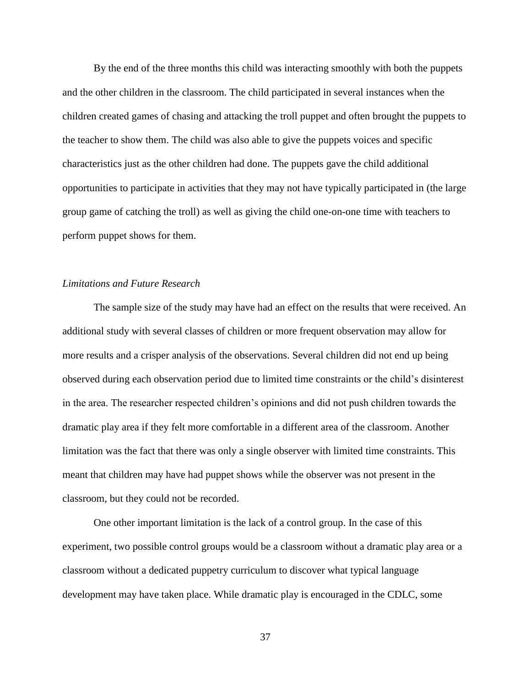By the end of the three months this child was interacting smoothly with both the puppets and the other children in the classroom. The child participated in several instances when the children created games of chasing and attacking the troll puppet and often brought the puppets to the teacher to show them. The child was also able to give the puppets voices and specific characteristics just as the other children had done. The puppets gave the child additional opportunities to participate in activities that they may not have typically participated in (the large group game of catching the troll) as well as giving the child one-on-one time with teachers to perform puppet shows for them.

### *Limitations and Future Research*

The sample size of the study may have had an effect on the results that were received. An additional study with several classes of children or more frequent observation may allow for more results and a crisper analysis of the observations. Several children did not end up being observed during each observation period due to limited time constraints or the child's disinterest in the area. The researcher respected children's opinions and did not push children towards the dramatic play area if they felt more comfortable in a different area of the classroom. Another limitation was the fact that there was only a single observer with limited time constraints. This meant that children may have had puppet shows while the observer was not present in the classroom, but they could not be recorded.

One other important limitation is the lack of a control group. In the case of this experiment, two possible control groups would be a classroom without a dramatic play area or a classroom without a dedicated puppetry curriculum to discover what typical language development may have taken place. While dramatic play is encouraged in the CDLC, some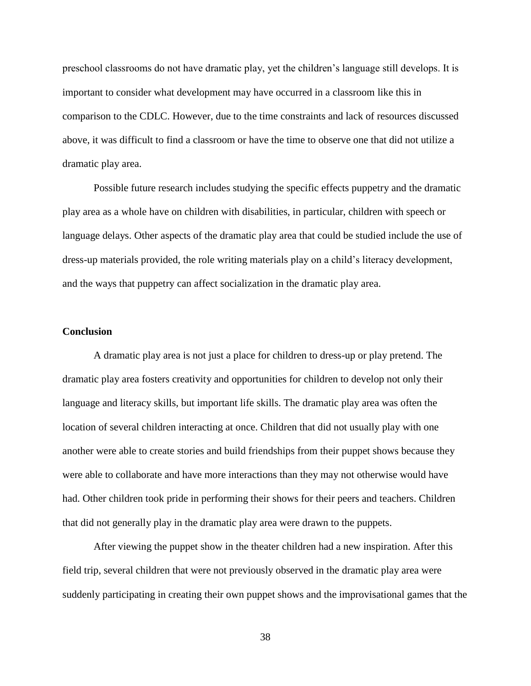preschool classrooms do not have dramatic play, yet the children's language still develops. It is important to consider what development may have occurred in a classroom like this in comparison to the CDLC. However, due to the time constraints and lack of resources discussed above, it was difficult to find a classroom or have the time to observe one that did not utilize a dramatic play area.

Possible future research includes studying the specific effects puppetry and the dramatic play area as a whole have on children with disabilities, in particular, children with speech or language delays. Other aspects of the dramatic play area that could be studied include the use of dress-up materials provided, the role writing materials play on a child's literacy development, and the ways that puppetry can affect socialization in the dramatic play area.

#### **Conclusion**

A dramatic play area is not just a place for children to dress-up or play pretend. The dramatic play area fosters creativity and opportunities for children to develop not only their language and literacy skills, but important life skills. The dramatic play area was often the location of several children interacting at once. Children that did not usually play with one another were able to create stories and build friendships from their puppet shows because they were able to collaborate and have more interactions than they may not otherwise would have had. Other children took pride in performing their shows for their peers and teachers. Children that did not generally play in the dramatic play area were drawn to the puppets.

After viewing the puppet show in the theater children had a new inspiration. After this field trip, several children that were not previously observed in the dramatic play area were suddenly participating in creating their own puppet shows and the improvisational games that the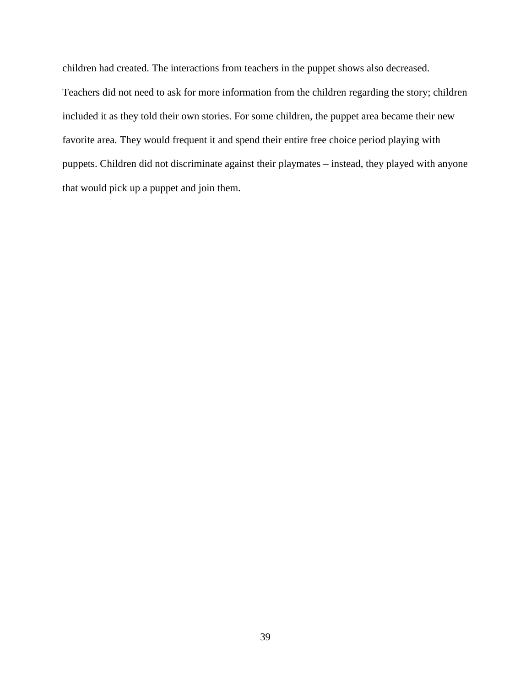children had created. The interactions from teachers in the puppet shows also decreased. Teachers did not need to ask for more information from the children regarding the story; children included it as they told their own stories. For some children, the puppet area became their new favorite area. They would frequent it and spend their entire free choice period playing with puppets. Children did not discriminate against their playmates – instead, they played with anyone that would pick up a puppet and join them.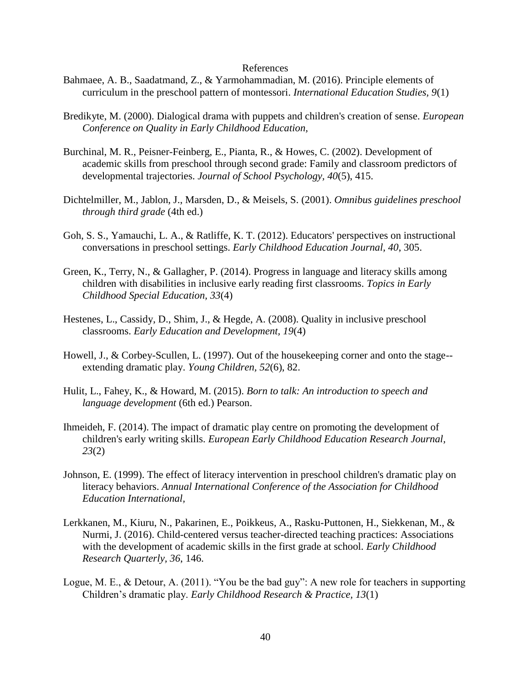#### References

- Bahmaee, A. B., Saadatmand, Z., & Yarmohammadian, M. (2016). Principle elements of curriculum in the preschool pattern of montessori. *International Education Studies, 9*(1)
- Bredikyte, M. (2000). Dialogical drama with puppets and children's creation of sense. *European Conference on Quality in Early Childhood Education,*
- Burchinal, M. R., Peisner-Feinberg, E., Pianta, R., & Howes, C. (2002). Development of academic skills from preschool through second grade: Family and classroom predictors of developmental trajectories. *Journal of School Psychology, 40*(5), 415.
- Dichtelmiller, M., Jablon, J., Marsden, D., & Meisels, S. (2001). *Omnibus guidelines preschool through third grade* (4th ed.)
- Goh, S. S., Yamauchi, L. A., & Ratliffe, K. T. (2012). Educators' perspectives on instructional conversations in preschool settings. *Early Childhood Education Journal, 40*, 305.
- Green, K., Terry, N., & Gallagher, P. (2014). Progress in language and literacy skills among children with disabilities in inclusive early reading first classrooms. *Topics in Early Childhood Special Education, 33*(4)
- Hestenes, L., Cassidy, D., Shim, J., & Hegde, A. (2008). Quality in inclusive preschool classrooms. *Early Education and Development, 19*(4)
- Howell, J., & Corbey-Scullen, L. (1997). Out of the housekeeping corner and onto the stage- extending dramatic play. *Young Children, 52*(6), 82.
- Hulit, L., Fahey, K., & Howard, M. (2015). *Born to talk: An introduction to speech and language development* (6th ed.) Pearson.
- Ihmeideh, F. (2014). The impact of dramatic play centre on promoting the development of children's early writing skills. *European Early Childhood Education Research Journal, 23*(2)
- Johnson, E. (1999). The effect of literacy intervention in preschool children's dramatic play on literacy behaviors. *Annual International Conference of the Association for Childhood Education International,*
- Lerkkanen, M., Kiuru, N., Pakarinen, E., Poikkeus, A., Rasku-Puttonen, H., Siekkenan, M., & Nurmi, J. (2016). Child-centered versus teacher-directed teaching practices: Associations with the development of academic skills in the first grade at school. *Early Childhood Research Quarterly, 36*, 146.
- Logue, M. E., & Detour, A. (2011). "You be the bad guy": A new role for teachers in supporting Children's dramatic play. *Early Childhood Research & Practice, 13*(1)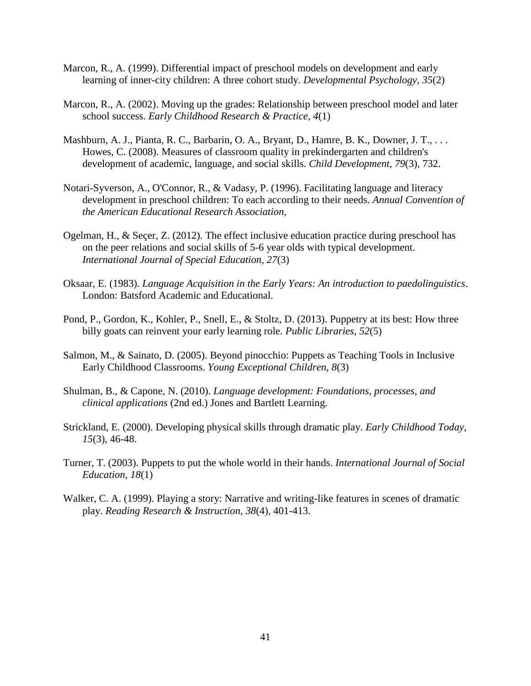- Marcon, R., A. (1999). Differential impact of preschool models on development and early learning of inner-city children: A three cohort study. *Developmental Psychology, 35*(2)
- Marcon, R., A. (2002). Moving up the grades: Relationship between preschool model and later school success. *Early Childhood Research & Practice, 4*(1)
- Mashburn, A. J., Pianta, R. C., Barbarin, O. A., Bryant, D., Hamre, B. K., Downer, J. T., . . . Howes, C. (2008). Measures of classroom quality in prekindergarten and children's development of academic, language, and social skills. *Child Development, 79*(3), 732.
- Notari-Syverson, A., O'Connor, R., & Vadasy, P. (1996). Facilitating language and literacy development in preschool children: To each according to their needs. *Annual Convention of the American Educational Research Association,*
- Ogelman, H., & Seçer, Z. (2012). The effect inclusive education practice during preschool has on the peer relations and social skills of 5-6 year olds with typical development. *International Journal of Special Education, 27*(3)
- Oksaar, E. (1983). *Language Acquisition in the Early Years: An introduction to paedolinguistics*. London: Batsford Academic and Educational.
- Pond, P., Gordon, K., Kohler, P., Snell, E., & Stoltz, D. (2013). Puppetry at its best: How three billy goats can reinvent your early learning role. *Public Libraries, 52*(5)
- Salmon, M., & Sainato, D. (2005). Beyond pinocchio: Puppets as Teaching Tools in Inclusive Early Childhood Classrooms. *Young Exceptional Children, 8*(3)
- Shulman, B., & Capone, N. (2010). *Language development: Foundations, processes, and clinical applications* (2nd ed.) Jones and Bartlett Learning.
- Strickland, E. (2000). Developing physical skills through dramatic play. *Early Childhood Today, 15*(3), 46-48.
- Turner, T. (2003). Puppets to put the whole world in their hands. *International Journal of Social Education, 18*(1)
- Walker, C. A. (1999). Playing a story: Narrative and writing-like features in scenes of dramatic play. *Reading Research & Instruction, 38*(4), 401-413.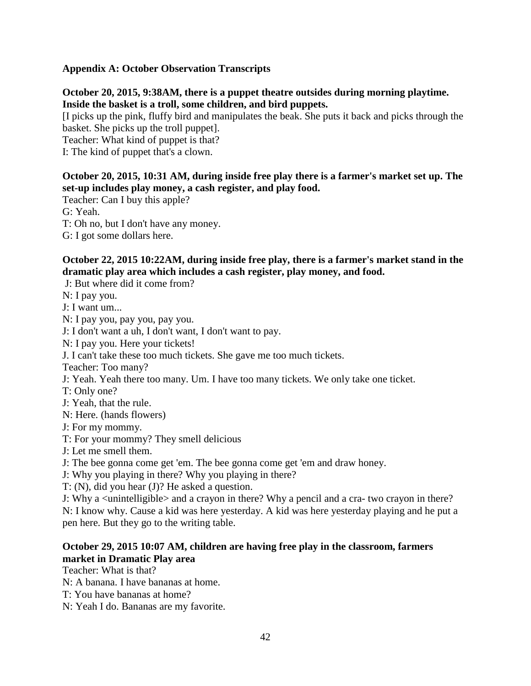# **Appendix A: October Observation Transcripts**

# **October 20, 2015, 9:38AM, there is a puppet theatre outsides during morning playtime. Inside the basket is a troll, some children, and bird puppets.**

[I picks up the pink, fluffy bird and manipulates the beak. She puts it back and picks through the basket. She picks up the troll puppet].

Teacher: What kind of puppet is that?

I: The kind of puppet that's a clown.

# **October 20, 2015, 10:31 AM, during inside free play there is a farmer's market set up. The set-up includes play money, a cash register, and play food.**

Teacher: Can I buy this apple?

G: Yeah.

T: Oh no, but I don't have any money.

G: I got some dollars here.

# **October 22, 2015 10:22AM, during inside free play, there is a farmer's market stand in the dramatic play area which includes a cash register, play money, and food.**

J: But where did it come from?

N: I pay you.

J: I want um...

N: I pay you, pay you, pay you.

J: I don't want a uh, I don't want, I don't want to pay.

N: I pay you. Here your tickets!

J. I can't take these too much tickets. She gave me too much tickets.

Teacher: Too many?

J: Yeah. Yeah there too many. Um. I have too many tickets. We only take one ticket.

T: Only one?

J: Yeah, that the rule.

N: Here. (hands flowers)

J: For my mommy.

T: For your mommy? They smell delicious

J: Let me smell them.

J: The bee gonna come get 'em. The bee gonna come get 'em and draw honey.

J: Why you playing in there? Why you playing in there?

T: (N), did you hear (J)? He asked a question.

J: Why a <unintelligible> and a crayon in there? Why a pencil and a cra- two crayon in there? N: I know why. Cause a kid was here yesterday. A kid was here yesterday playing and he put a pen here. But they go to the writing table.

# **October 29, 2015 10:07 AM, children are having free play in the classroom, farmers market in Dramatic Play area**

Teacher: What is that?

N: A banana. I have bananas at home.

T: You have bananas at home?

N: Yeah I do. Bananas are my favorite.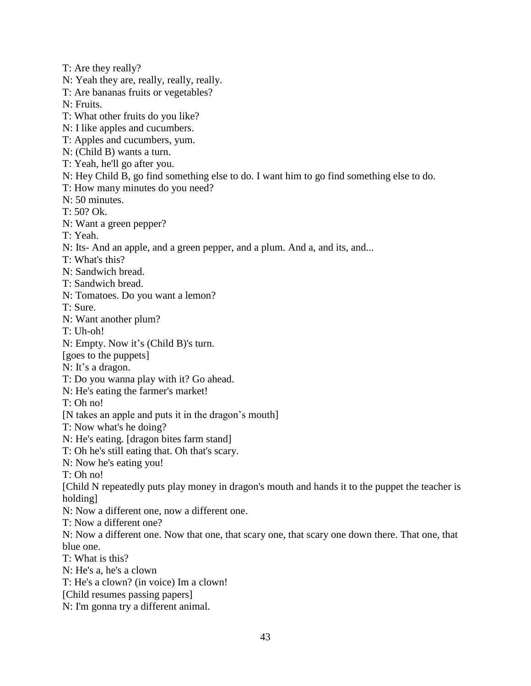- T: Are they really?
- N: Yeah they are, really, really, really.
- T: Are bananas fruits or vegetables?
- N: Fruits.
- T: What other fruits do you like?
- N: I like apples and cucumbers.
- T: Apples and cucumbers, yum.
- N: (Child B) wants a turn.
- T: Yeah, he'll go after you.
- N: Hey Child B, go find something else to do. I want him to go find something else to do.
- T: How many minutes do you need?
- N: 50 minutes.
- T: 50? Ok.
- N: Want a green pepper?
- T: Yeah.
- N: Its- And an apple, and a green pepper, and a plum. And a, and its, and...
- T: What's this?
- N: Sandwich bread.
- T: Sandwich bread.
- N: Tomatoes. Do you want a lemon?
- T: Sure.
- N: Want another plum?
- T: Uh-oh!
- N: Empty. Now it's (Child B)'s turn.
- [goes to the puppets]
- N: It's a dragon.
- T: Do you wanna play with it? Go ahead.
- N: He's eating the farmer's market!
- T: Oh no!
- [N takes an apple and puts it in the dragon's mouth]
- T: Now what's he doing?
- N: He's eating. [dragon bites farm stand]
- T: Oh he's still eating that. Oh that's scary.
- N: Now he's eating you!
- T: Oh no!
- [Child N repeatedly puts play money in dragon's mouth and hands it to the puppet the teacher is holding]
- N: Now a different one, now a different one.
- T: Now a different one?
- N: Now a different one. Now that one, that scary one, that scary one down there. That one, that blue one.
- T: What is this?
- N: He's a, he's a clown
- T: He's a clown? (in voice) Im a clown!
- [Child resumes passing papers]
- N: I'm gonna try a different animal.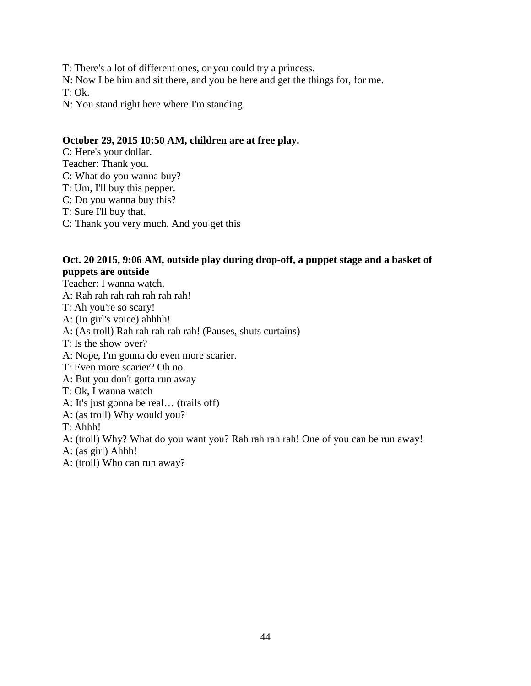T: There's a lot of different ones, or you could try a princess.

N: Now I be him and sit there, and you be here and get the things for, for me.

T: Ok.

N: You stand right here where I'm standing.

# **October 29, 2015 10:50 AM, children are at free play.**

C: Here's your dollar. Teacher: Thank you. C: What do you wanna buy? T: Um, I'll buy this pepper. C: Do you wanna buy this? T: Sure I'll buy that. C: Thank you very much. And you get this

# **Oct. 20 2015, 9:06 AM, outside play during drop-off, a puppet stage and a basket of puppets are outside**

Teacher: I wanna watch. A: Rah rah rah rah rah rah rah! T: Ah you're so scary! A: (In girl's voice) ahhhh! A: (As troll) Rah rah rah rah rah! (Pauses, shuts curtains) T: Is the show over? A: Nope, I'm gonna do even more scarier. T: Even more scarier? Oh no. A: But you don't gotta run away T: Ok, I wanna watch A: It's just gonna be real… (trails off) A: (as troll) Why would you? T: Ahhh! A: (troll) Why? What do you want you? Rah rah rah rah! One of you can be run away! A: (as girl) Ahhh!

A: (troll) Who can run away?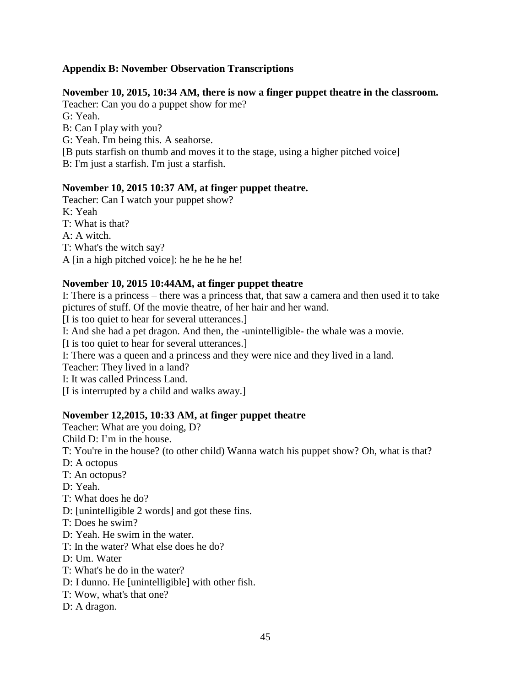# **Appendix B: November Observation Transcriptions**

# **November 10, 2015, 10:34 AM, there is now a finger puppet theatre in the classroom.**

Teacher: Can you do a puppet show for me? G: Yeah. B: Can I play with you? G: Yeah. I'm being this. A seahorse. [B puts starfish on thumb and moves it to the stage, using a higher pitched voice] B: I'm just a starfish. I'm just a starfish.

# **November 10, 2015 10:37 AM, at finger puppet theatre.**

Teacher: Can I watch your puppet show? K: Yeah T: What is that? A: A witch. T: What's the witch say? A [in a high pitched voice]: he he he he he!

# **November 10, 2015 10:44AM, at finger puppet theatre**

I: There is a princess – there was a princess that, that saw a camera and then used it to take pictures of stuff. Of the movie theatre, of her hair and her wand. [I is too quiet to hear for several utterances.] I: And she had a pet dragon. And then, the -unintelligible- the whale was a movie. [I is too quiet to hear for several utterances.] I: There was a queen and a princess and they were nice and they lived in a land. Teacher: They lived in a land? I: It was called Princess Land. [I is interrupted by a child and walks away.]

# **November 12,2015, 10:33 AM, at finger puppet theatre**

Teacher: What are you doing, D?

Child D: I'm in the house.

T: You're in the house? (to other child) Wanna watch his puppet show? Oh, what is that?

- D: A octopus
- T: An octopus?

D: Yeah.

- T: What does he do?
- D: [unintelligible 2 words] and got these fins.
- T: Does he swim?
- D: Yeah. He swim in the water.
- T: In the water? What else does he do?
- D: Um. Water
- T: What's he do in the water?
- D: I dunno. He [unintelligible] with other fish.
- T: Wow, what's that one?
- D: A dragon.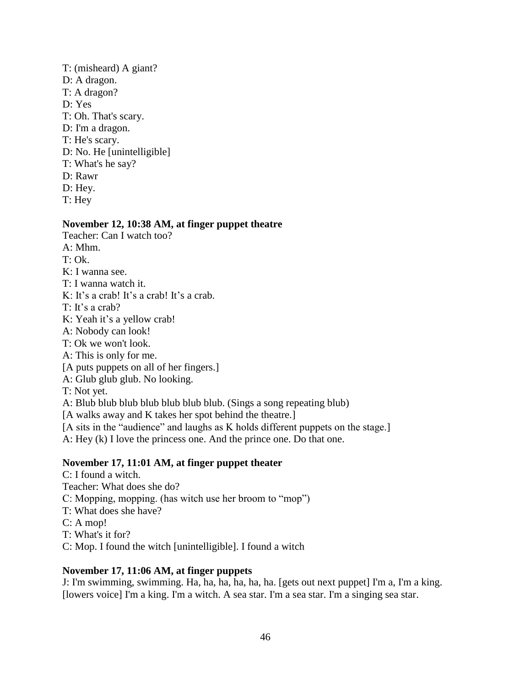- T: (misheard) A giant? D: A dragon. T: A dragon? D: Yes T: Oh. That's scary. D: I'm a dragon. T: He's scary. D: No. He [unintelligible] T: What's he say? D: Rawr
- D: Hey.
- T: Hey

### **November 12, 10:38 AM, at finger puppet theatre**

- Teacher: Can I watch too?
- A: Mhm.
- $T: Ok.$
- K: I wanna see.
- T: I wanna watch it.
- K: It's a crab! It's a crab! It's a crab.
- T: It's a crab?
- K: Yeah it's a yellow crab!
- A: Nobody can look!
- T: Ok we won't look.
- A: This is only for me.
- [A puts puppets on all of her fingers.]
- A: Glub glub glub. No looking.
- T: Not yet.
- A: Blub blub blub blub blub blub blub. (Sings a song repeating blub)
- [A walks away and K takes her spot behind the theatre.]
- [A sits in the "audience" and laughs as K holds different puppets on the stage.]
- A: Hey (k) I love the princess one. And the prince one. Do that one.

### **November 17, 11:01 AM, at finger puppet theater**

C: I found a witch. Teacher: What does she do? C: Mopping, mopping. (has witch use her broom to "mop") T: What does she have? C: A mop! T: What's it for? C: Mop. I found the witch [unintelligible]. I found a witch

#### **November 17, 11:06 AM, at finger puppets**

J: I'm swimming, swimming. Ha, ha, ha, ha, ha, ha. [gets out next puppet] I'm a, I'm a king. [lowers voice] I'm a king. I'm a witch. A sea star. I'm a sea star. I'm a singing sea star.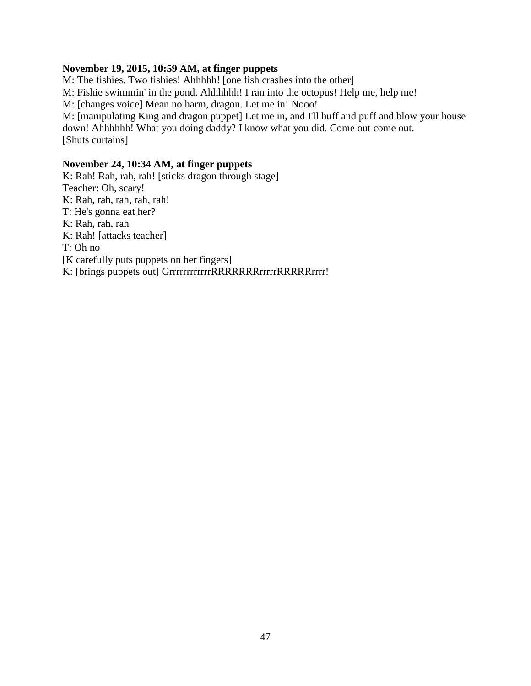### **November 19, 2015, 10:59 AM, at finger puppets**

M: The fishies. Two fishies! Ahhhhh! [one fish crashes into the other]

M: Fishie swimmin' in the pond. Ahhhhhh! I ran into the octopus! Help me, help me!

M: [changes voice] Mean no harm, dragon. Let me in! Nooo!

M: [manipulating King and dragon puppet] Let me in, and I'll huff and puff and blow your house down! Ahhhhhh! What you doing daddy? I know what you did. Come out come out. [Shuts curtains]

# **November 24, 10:34 AM, at finger puppets**

K: Rah! Rah, rah, rah! [sticks dragon through stage] Teacher: Oh, scary! K: Rah, rah, rah, rah, rah! T: He's gonna eat her? K: Rah, rah, rah K: Rah! [attacks teacher] T: Oh no [K carefully puts puppets on her fingers] K: [brings puppets out] GrrrrrrrrrrRRRRRRRRrrrrrRRRRRRrrrr!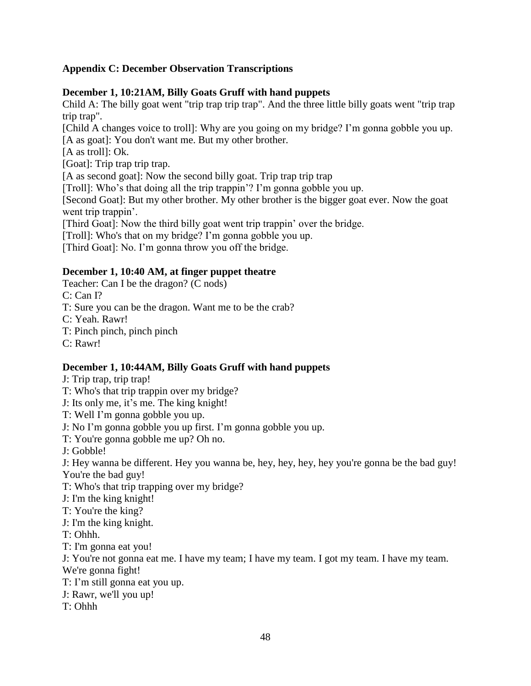# **Appendix C: December Observation Transcriptions**

# **December 1, 10:21AM, Billy Goats Gruff with hand puppets**

Child A: The billy goat went "trip trap trip trap". And the three little billy goats went "trip trap trip trap".

[Child A changes voice to troll]: Why are you going on my bridge? I'm gonna gobble you up. [A as goat]: You don't want me. But my other brother.

[A as troll]: Ok.

[Goat]: Trip trap trip trap.

[A as second goat]: Now the second billy goat. Trip trap trip trap

[Troll]: Who's that doing all the trip trappin'? I'm gonna gobble you up.

[Second Goat]: But my other brother. My other brother is the bigger goat ever. Now the goat went trip trappin'.

[Third Goat]: Now the third billy goat went trip trappin' over the bridge.

[Troll]: Who's that on my bridge? I'm gonna gobble you up.

[Third Goat]: No. I'm gonna throw you off the bridge.

# **December 1, 10:40 AM, at finger puppet theatre**

Teacher: Can I be the dragon? (C nods)

C: Can I?

T: Sure you can be the dragon. Want me to be the crab?

C: Yeah. Rawr!

T: Pinch pinch, pinch pinch

C: Rawr!

# **December 1, 10:44AM, Billy Goats Gruff with hand puppets**

J: Trip trap, trip trap!

T: Who's that trip trappin over my bridge?

J: Its only me, it's me. The king knight!

T: Well I'm gonna gobble you up.

J: No I'm gonna gobble you up first. I'm gonna gobble you up.

T: You're gonna gobble me up? Oh no.

J: Gobble!

J: Hey wanna be different. Hey you wanna be, hey, hey, hey, hey you're gonna be the bad guy! You're the bad guy!

T: Who's that trip trapping over my bridge?

J: I'm the king knight!

T: You're the king?

J: I'm the king knight.

T: Ohhh.

T: I'm gonna eat you!

J: You're not gonna eat me. I have my team; I have my team. I got my team. I have my team.

We're gonna fight!

T: I'm still gonna eat you up.

J: Rawr, we'll you up!

T: Ohhh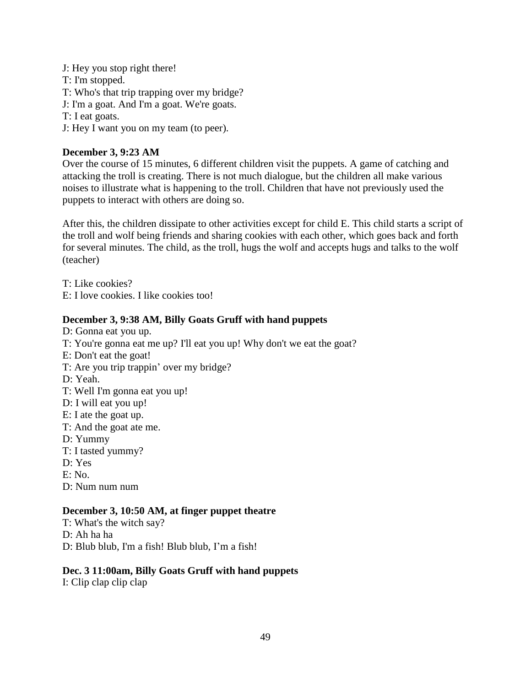- J: Hey you stop right there!
- T: I'm stopped.
- T: Who's that trip trapping over my bridge?
- J: I'm a goat. And I'm a goat. We're goats.
- T: I eat goats.
- J: Hey I want you on my team (to peer).

# **December 3, 9:23 AM**

Over the course of 15 minutes, 6 different children visit the puppets. A game of catching and attacking the troll is creating. There is not much dialogue, but the children all make various noises to illustrate what is happening to the troll. Children that have not previously used the puppets to interact with others are doing so.

After this, the children dissipate to other activities except for child E. This child starts a script of the troll and wolf being friends and sharing cookies with each other, which goes back and forth for several minutes. The child, as the troll, hugs the wolf and accepts hugs and talks to the wolf (teacher)

T: Like cookies?

E: I love cookies. I like cookies too!

# **December 3, 9:38 AM, Billy Goats Gruff with hand puppets**

D: Gonna eat you up. T: You're gonna eat me up? I'll eat you up! Why don't we eat the goat? E: Don't eat the goat! T: Are you trip trappin' over my bridge? D: Yeah. T: Well I'm gonna eat you up! D: I will eat you up! E: I ate the goat up. T: And the goat ate me. D: Yummy T: I tasted yummy? D: Yes E: No. D: Num num num

# **December 3, 10:50 AM, at finger puppet theatre**

- T: What's the witch say?
- D: Ah ha ha

D: Blub blub, I'm a fish! Blub blub, I'm a fish!

# **Dec. 3 11:00am, Billy Goats Gruff with hand puppets**

I: Clip clap clip clap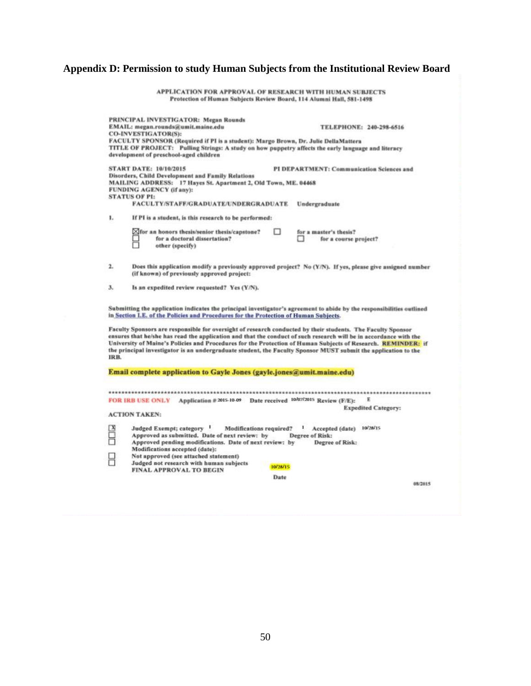# **Appendix D: Permission to study Human Subjects from the Institutional Review Board**

APPLICATION FOR APPROVAL OF RESEARCH WITH HUMAN SUBJECTS<br>Protection of Human Subjects Review Board, 114 Alumni Hall, 581-1498

|      | PRINCIPAL INVESTIGATOR: Megan Rounds<br>EMAIL: megan.rounds@umit.maine.edu                                                                                                                                                                                                                                                                                                                                                                                         | TELEPHONE: 240-298-6516                                           |
|------|--------------------------------------------------------------------------------------------------------------------------------------------------------------------------------------------------------------------------------------------------------------------------------------------------------------------------------------------------------------------------------------------------------------------------------------------------------------------|-------------------------------------------------------------------|
|      | CO-INVESTIGATOR(S):<br>FACULTY SPONSOR (Required if PI is a student): Margo Brown, Dr. Julie DellaMattera                                                                                                                                                                                                                                                                                                                                                          |                                                                   |
|      | TITLE OF PROJECT: Pulling Strings: A study on how puppetry affects the early language and literacy<br>development of preschool-aged children                                                                                                                                                                                                                                                                                                                       |                                                                   |
|      | <b>START DATE: 10/10/2015</b><br>Disorders, Child Development and Family Relations                                                                                                                                                                                                                                                                                                                                                                                 | PI DEPARTMENT: Communication Sciences and                         |
|      | MAILING ADDRESS: 17 Hayes St. Apartment 2, Old Town, ME. 04468<br>FUNDING AGENCY (if any):<br><b>STATUS OF PI:</b>                                                                                                                                                                                                                                                                                                                                                 |                                                                   |
|      | <b>FACULTY/STAFF/GRADUATE/UNDERGRADUATE</b>                                                                                                                                                                                                                                                                                                                                                                                                                        | Undergraduate                                                     |
| 1.   | If PI is a student, is this research to be performed:                                                                                                                                                                                                                                                                                                                                                                                                              |                                                                   |
|      | п<br>XIfor an honors thesis/senior thesis/capstone?<br>for a doctoral dissertation?<br>other (specify)                                                                                                                                                                                                                                                                                                                                                             | for a master's thesis?<br>for a course project?                   |
| 2.   | Does this application modify a previously approved project? No (Y/N). If yes, please give assigned number<br>(if known) of previously approved project:                                                                                                                                                                                                                                                                                                            |                                                                   |
| з.   | Is an expedited review requested? Yes (Y/N).                                                                                                                                                                                                                                                                                                                                                                                                                       |                                                                   |
|      | Submitting the application indicates the principal investigator's agreement to abide by the responsibilities outlined<br>in Section I.E. of the Policies and Procedures for the Protection of Human Subjects.                                                                                                                                                                                                                                                      |                                                                   |
| IRB. | Faculty Sponsors are responsible for oversight of research conducted by their students. The Faculty Sponsor<br>ensures that he/she has read the application and that the conduct of such research will be in accordance with the<br>University of Maine's Policies and Procedures for the Protection of Human Subjects of Research. REMINDER: if<br>the principal investigator is an undergraduate student, the Faculty Sponsor MUST submit the application to the |                                                                   |
|      | Email complete application to Gayle Jones (gayle.jones@umit.maine.edu)                                                                                                                                                                                                                                                                                                                                                                                             |                                                                   |
|      |                                                                                                                                                                                                                                                                                                                                                                                                                                                                    |                                                                   |
|      | Application # 2015-10-09 Date received 10/07/2015 Review (F/E):<br><b>FOR IRB USE ONLY</b>                                                                                                                                                                                                                                                                                                                                                                         | E<br><b>Expedited Category:</b>                                   |
|      | <b>ACTION TAKEN:</b>                                                                                                                                                                                                                                                                                                                                                                                                                                               |                                                                   |
|      | Judged Exempt; category<br>Modifications required?<br>Approved as submitted. Date of next review: by<br>Approved pending modifications. Date of next review: by                                                                                                                                                                                                                                                                                                    | Accepted (date)<br>10/28/15<br>Degree of Risk:<br>Degree of Risk: |
|      | Modifications accepted (date):<br>Not approved (see attached statement)                                                                                                                                                                                                                                                                                                                                                                                            |                                                                   |
|      | Judged not research with human subjects<br>10/28/15<br><b>FINAL APPROVAL TO BEGIN</b>                                                                                                                                                                                                                                                                                                                                                                              |                                                                   |
|      | Date                                                                                                                                                                                                                                                                                                                                                                                                                                                               | 08/2015                                                           |
|      |                                                                                                                                                                                                                                                                                                                                                                                                                                                                    |                                                                   |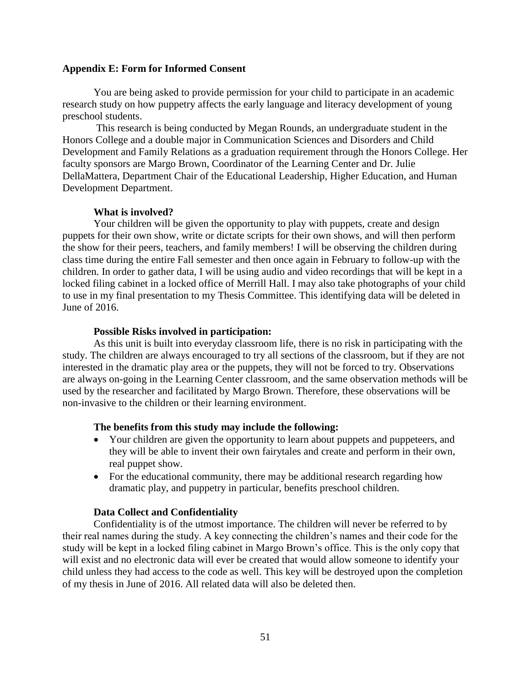#### **Appendix E: Form for Informed Consent**

You are being asked to provide permission for your child to participate in an academic research study on how puppetry affects the early language and literacy development of young preschool students.

This research is being conducted by Megan Rounds, an undergraduate student in the Honors College and a double major in Communication Sciences and Disorders and Child Development and Family Relations as a graduation requirement through the Honors College. Her faculty sponsors are Margo Brown, Coordinator of the Learning Center and Dr. Julie DellaMattera, Department Chair of the Educational Leadership, Higher Education, and Human Development Department.

### **What is involved?**

Your children will be given the opportunity to play with puppets, create and design puppets for their own show, write or dictate scripts for their own shows, and will then perform the show for their peers, teachers, and family members! I will be observing the children during class time during the entire Fall semester and then once again in February to follow-up with the children. In order to gather data, I will be using audio and video recordings that will be kept in a locked filing cabinet in a locked office of Merrill Hall. I may also take photographs of your child to use in my final presentation to my Thesis Committee. This identifying data will be deleted in June of 2016.

### **Possible Risks involved in participation:**

As this unit is built into everyday classroom life, there is no risk in participating with the study. The children are always encouraged to try all sections of the classroom, but if they are not interested in the dramatic play area or the puppets, they will not be forced to try. Observations are always on-going in the Learning Center classroom, and the same observation methods will be used by the researcher and facilitated by Margo Brown. Therefore, these observations will be non-invasive to the children or their learning environment.

#### **The benefits from this study may include the following:**

- Your children are given the opportunity to learn about puppets and puppeteers, and they will be able to invent their own fairytales and create and perform in their own, real puppet show.
- For the educational community, there may be additional research regarding how dramatic play, and puppetry in particular, benefits preschool children.

#### **Data Collect and Confidentiality**

Confidentiality is of the utmost importance. The children will never be referred to by their real names during the study. A key connecting the children's names and their code for the study will be kept in a locked filing cabinet in Margo Brown's office. This is the only copy that will exist and no electronic data will ever be created that would allow someone to identify your child unless they had access to the code as well. This key will be destroyed upon the completion of my thesis in June of 2016. All related data will also be deleted then.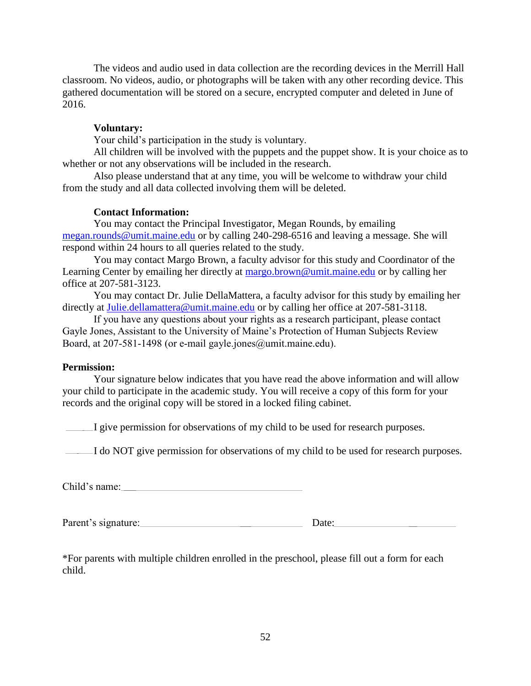The videos and audio used in data collection are the recording devices in the Merrill Hall classroom. No videos, audio, or photographs will be taken with any other recording device. This gathered documentation will be stored on a secure, encrypted computer and deleted in June of 2016.

# **Voluntary:**

Your child's participation in the study is voluntary.

All children will be involved with the puppets and the puppet show. It is your choice as to whether or not any observations will be included in the research.

Also please understand that at any time, you will be welcome to withdraw your child from the study and all data collected involving them will be deleted.

# **Contact Information:**

You may contact the Principal Investigator, Megan Rounds, by emailing [megan.rounds@umit.maine.edu](mailto:megan.rounds@umit.maine.edu) or by calling 240-298-6516 and leaving a message. She will respond within 24 hours to all queries related to the study.

You may contact Margo Brown, a faculty advisor for this study and Coordinator of the Learning Center by emailing her directly at [margo.brown@umit.maine.edu](mailto:margo.brown@umit.maine.edu) or by calling her office at 207-581-3123.

You may contact Dr. Julie DellaMattera, a faculty advisor for this study by emailing her directly at [Julie.dellamattera@umit.maine.edu](mailto:Julie.dellamattera@umit.maine.edu) or by calling her office at 207-581-3118.

If you have any questions about your rights as a research participant, please contact Gayle Jones, Assistant to the University of Maine's Protection of Human Subjects Review Board, at 207-581-1498 (or e-mail gayle.jones@umit.maine.edu).

### **Permission:**

Your signature below indicates that you have read the above information and will allow your child to participate in the academic study. You will receive a copy of this form for your records and the original copy will be stored in a locked filing cabinet.

I give permission for observations of my child to be used for research purposes.

I do NOT give permission for observations of my child to be used for research purposes.

Child's name:

Parent's signature: Date: Date:

\*For parents with multiple children enrolled in the preschool, please fill out a form for each child.